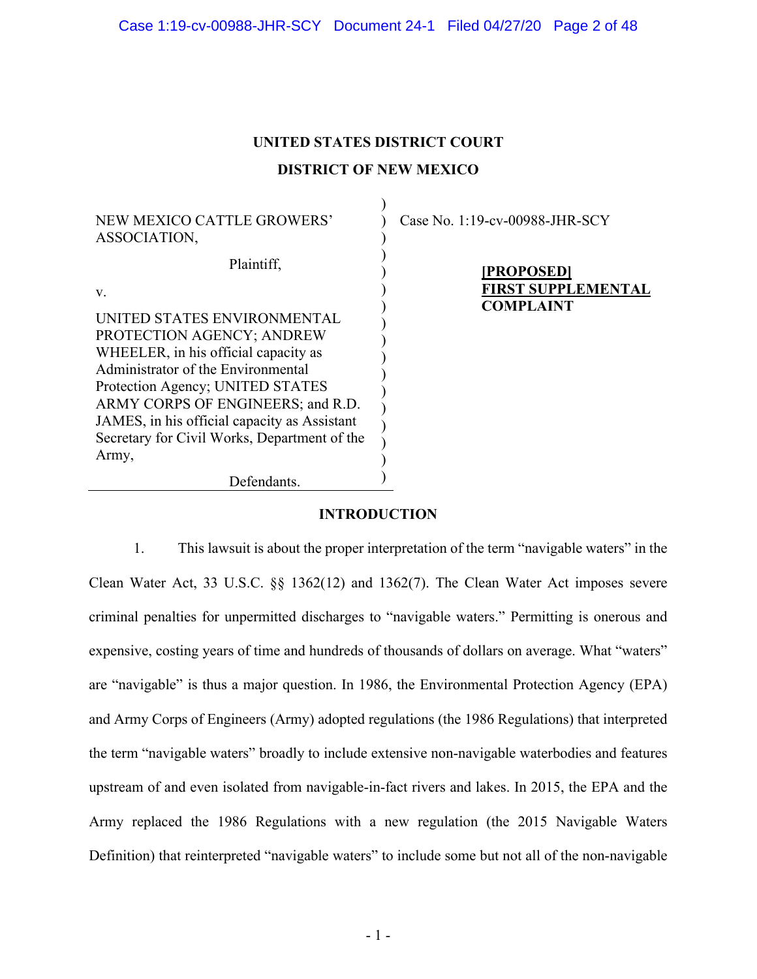# **UNITED STATES DISTRICT COURT DISTRICT OF NEW MEXICO**

) ) ) ) ) ) ) ) ) ) ) ) ) ) ) ) )

NEW MEXICO CATTLE GROWERS' ASSOCIATION,

Plaintiff,

v.

UNITED STATES ENVIRONMENTAL PROTECTION AGENCY; ANDREW WHEELER, in his official capacity as Administrator of the Environmental Protection Agency; UNITED STATES ARMY CORPS OF ENGINEERS; and R.D. JAMES, in his official capacity as Assistant Secretary for Civil Works, Department of the Army,

Defendants.

Case No. 1:19-cv-00988-JHR-SCY

**[PROPOSED] FIRST SUPPLEMENTAL COMPLAINT**

## **INTRODUCTION**

1. This lawsuit is about the proper interpretation of the term "navigable waters" in the Clean Water Act, 33 U.S.C. §§ 1362(12) and 1362(7). The Clean Water Act imposes severe criminal penalties for unpermitted discharges to "navigable waters." Permitting is onerous and expensive, costing years of time and hundreds of thousands of dollars on average. What "waters" are "navigable" is thus a major question. In 1986, the Environmental Protection Agency (EPA) and Army Corps of Engineers (Army) adopted regulations (the 1986 Regulations) that interpreted the term "navigable waters" broadly to include extensive non-navigable waterbodies and features upstream of and even isolated from navigable-in-fact rivers and lakes. In 2015, the EPA and the Army replaced the 1986 Regulations with a new regulation (the 2015 Navigable Waters Definition) that reinterpreted "navigable waters" to include some but not all of the non-navigable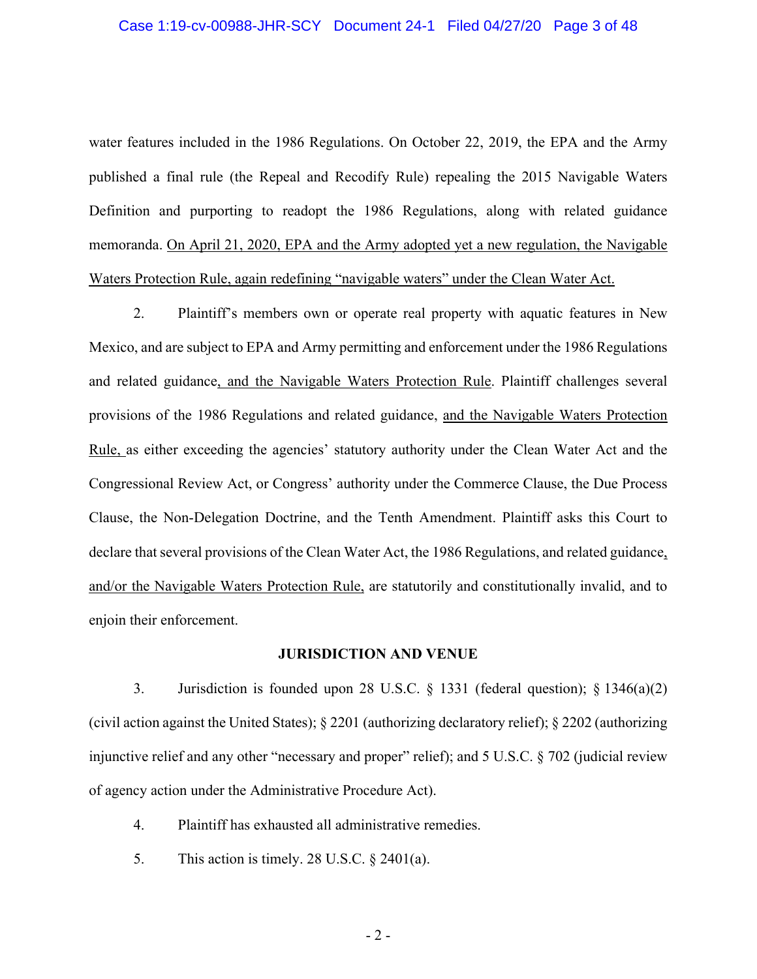#### Case 1:19-cv-00988-JHR-SCY Document 24-1 Filed 04/27/20 Page 3 of 48

water features included in the 1986 Regulations. On October 22, 2019, the EPA and the Army published a final rule (the Repeal and Recodify Rule) repealing the 2015 Navigable Waters Definition and purporting to readopt the 1986 Regulations, along with related guidance memoranda. On April 21, 2020, EPA and the Army adopted yet a new regulation, the Navigable Waters Protection Rule, again redefining "navigable waters" under the Clean Water Act.

2. Plaintiff's members own or operate real property with aquatic features in New Mexico, and are subject to EPA and Army permitting and enforcement under the 1986 Regulations and related guidance, and the Navigable Waters Protection Rule. Plaintiff challenges several provisions of the 1986 Regulations and related guidance, and the Navigable Waters Protection Rule, as either exceeding the agencies' statutory authority under the Clean Water Act and the Congressional Review Act, or Congress' authority under the Commerce Clause, the Due Process Clause, the Non-Delegation Doctrine, and the Tenth Amendment. Plaintiff asks this Court to declare that several provisions of the Clean Water Act, the 1986 Regulations, and related guidance, and/or the Navigable Waters Protection Rule, are statutorily and constitutionally invalid, and to enjoin their enforcement.

#### **JURISDICTION AND VENUE**

3. Jurisdiction is founded upon 28 U.S.C. § 1331 (federal question); § 1346(a)(2) (civil action against the United States); § 2201 (authorizing declaratory relief); § 2202 (authorizing injunctive relief and any other "necessary and proper" relief); and 5 U.S.C. § 702 (judicial review of agency action under the Administrative Procedure Act).

- 4. Plaintiff has exhausted all administrative remedies.
- 5. This action is timely. 28 U.S.C.  $\S$  2401(a).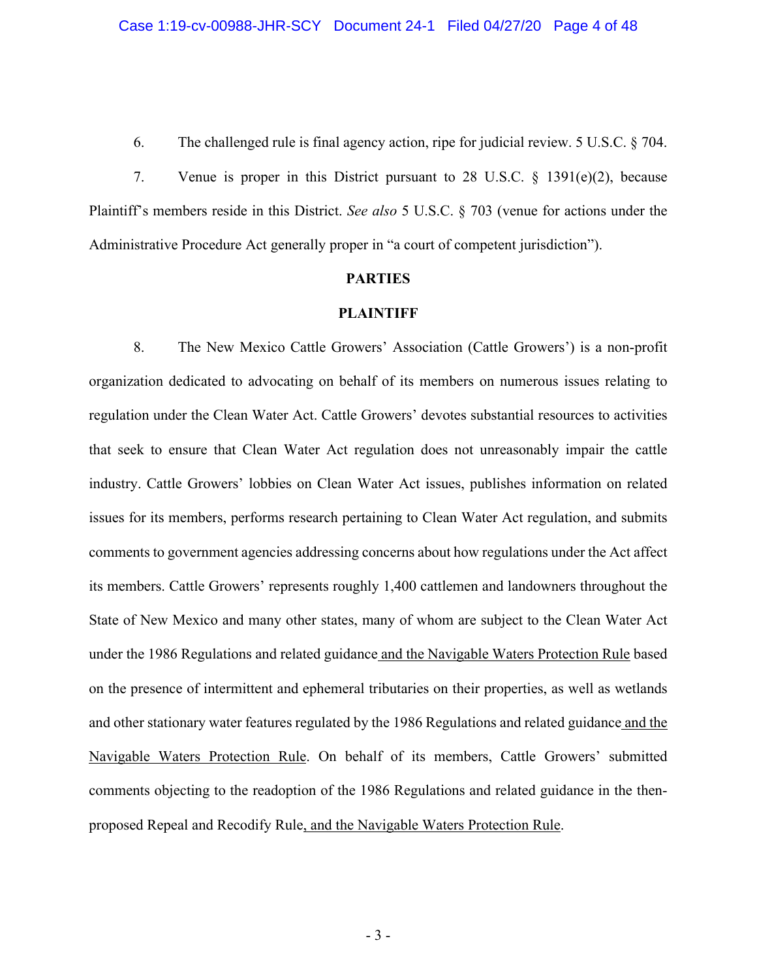6. The challenged rule is final agency action, ripe for judicial review. 5 U.S.C. § 704.

7. Venue is proper in this District pursuant to 28 U.S.C. § 1391(e)(2), because Plaintiff's members reside in this District. *See also* 5 U.S.C. § 703 (venue for actions under the Administrative Procedure Act generally proper in "a court of competent jurisdiction").

#### **PARTIES**

#### **PLAINTIFF**

8. The New Mexico Cattle Growers' Association (Cattle Growers') is a non-profit organization dedicated to advocating on behalf of its members on numerous issues relating to regulation under the Clean Water Act. Cattle Growers' devotes substantial resources to activities that seek to ensure that Clean Water Act regulation does not unreasonably impair the cattle industry. Cattle Growers' lobbies on Clean Water Act issues, publishes information on related issues for its members, performs research pertaining to Clean Water Act regulation, and submits comments to government agencies addressing concerns about how regulations under the Act affect its members. Cattle Growers' represents roughly 1,400 cattlemen and landowners throughout the State of New Mexico and many other states, many of whom are subject to the Clean Water Act under the 1986 Regulations and related guidance and the Navigable Waters Protection Rule based on the presence of intermittent and ephemeral tributaries on their properties, as well as wetlands and other stationary water features regulated by the 1986 Regulations and related guidance and the Navigable Waters Protection Rule. On behalf of its members, Cattle Growers' submitted comments objecting to the readoption of the 1986 Regulations and related guidance in the thenproposed Repeal and Recodify Rule, and the Navigable Waters Protection Rule.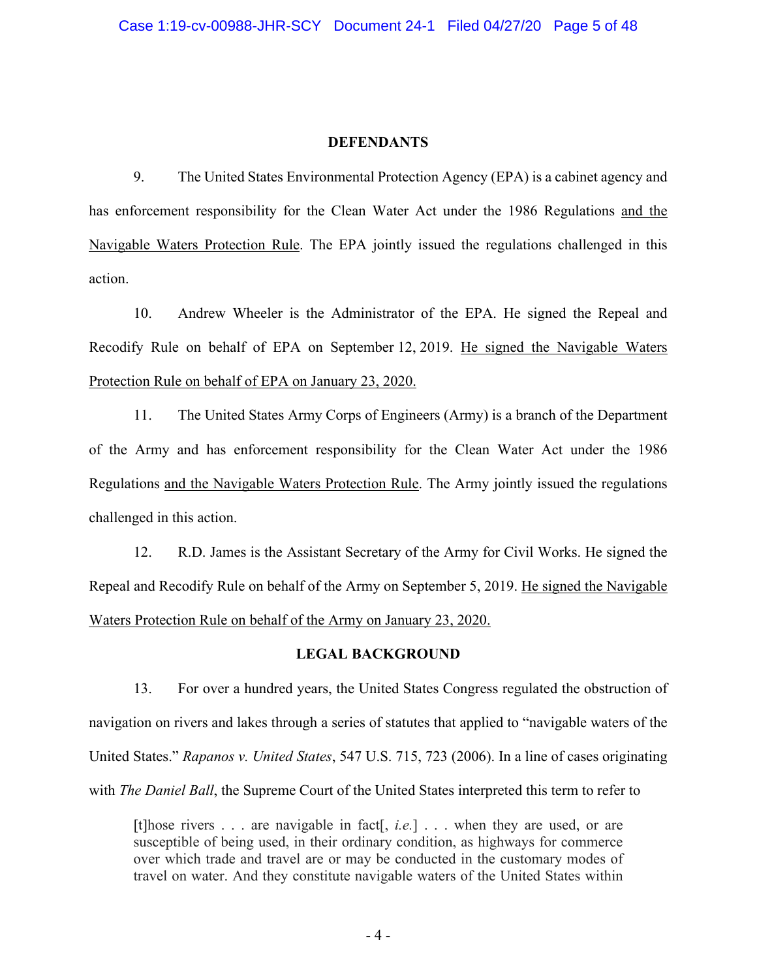#### **DEFENDANTS**

9. The United States Environmental Protection Agency (EPA) is a cabinet agency and has enforcement responsibility for the Clean Water Act under the 1986 Regulations and the Navigable Waters Protection Rule. The EPA jointly issued the regulations challenged in this action.

10. Andrew Wheeler is the Administrator of the EPA. He signed the Repeal and Recodify Rule on behalf of EPA on September 12, 2019. He signed the Navigable Waters Protection Rule on behalf of EPA on January 23, 2020.

11. The United States Army Corps of Engineers (Army) is a branch of the Department of the Army and has enforcement responsibility for the Clean Water Act under the 1986 Regulations and the Navigable Waters Protection Rule. The Army jointly issued the regulations challenged in this action.

12. R.D. James is the Assistant Secretary of the Army for Civil Works. He signed the Repeal and Recodify Rule on behalf of the Army on September 5, 2019. He signed the Navigable Waters Protection Rule on behalf of the Army on January 23, 2020.

#### **LEGAL BACKGROUND**

13. For over a hundred years, the United States Congress regulated the obstruction of navigation on rivers and lakes through a series of statutes that applied to "navigable waters of the United States." *Rapanos v. United States*, 547 U.S. 715, 723 (2006). In a line of cases originating with *The Daniel Ball*, the Supreme Court of the United States interpreted this term to refer to

[t]hose rivers . . . are navigable in fact[, *i.e.*] . . . when they are used, or are susceptible of being used, in their ordinary condition, as highways for commerce over which trade and travel are or may be conducted in the customary modes of travel on water. And they constitute navigable waters of the United States within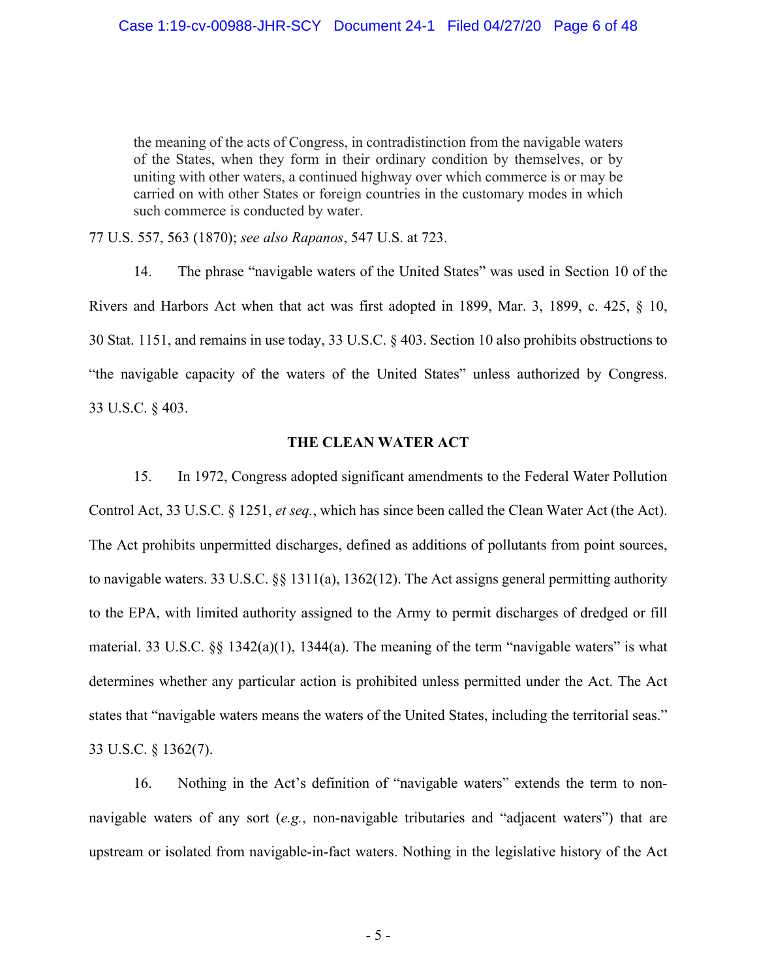the meaning of the acts of Congress, in contradistinction from the navigable waters of the States, when they form in their ordinary condition by themselves, or by uniting with other waters, a continued highway over which commerce is or may be carried on with other States or foreign countries in the customary modes in which such commerce is conducted by water.

77 U.S. 557, 563 (1870); *see also Rapanos*, 547 U.S. at 723.

14. The phrase "navigable waters of the United States" was used in Section 10 of the Rivers and Harbors Act when that act was first adopted in 1899, Mar. 3, 1899, c. 425, § 10, 30 Stat. 1151, and remains in use today, 33 U.S.C. § 403. Section 10 also prohibits obstructions to "the navigable capacity of the waters of the United States" unless authorized by Congress. 33 U.S.C. § 403.

### **THE CLEAN WATER ACT**

15. In 1972, Congress adopted significant amendments to the Federal Water Pollution Control Act, 33 U.S.C. § 1251, *et seq.*, which has since been called the Clean Water Act (the Act). The Act prohibits unpermitted discharges, defined as additions of pollutants from point sources, to navigable waters. 33 U.S.C. §§ 1311(a), 1362(12). The Act assigns general permitting authority to the EPA, with limited authority assigned to the Army to permit discharges of dredged or fill material. 33 U.S.C. §§ 1342(a)(1), 1344(a). The meaning of the term "navigable waters" is what determines whether any particular action is prohibited unless permitted under the Act. The Act states that "navigable waters means the waters of the United States, including the territorial seas." 33 U.S.C. § 1362(7).

16. Nothing in the Act's definition of "navigable waters" extends the term to nonnavigable waters of any sort (*e.g.*, non-navigable tributaries and "adjacent waters") that are upstream or isolated from navigable-in-fact waters. Nothing in the legislative history of the Act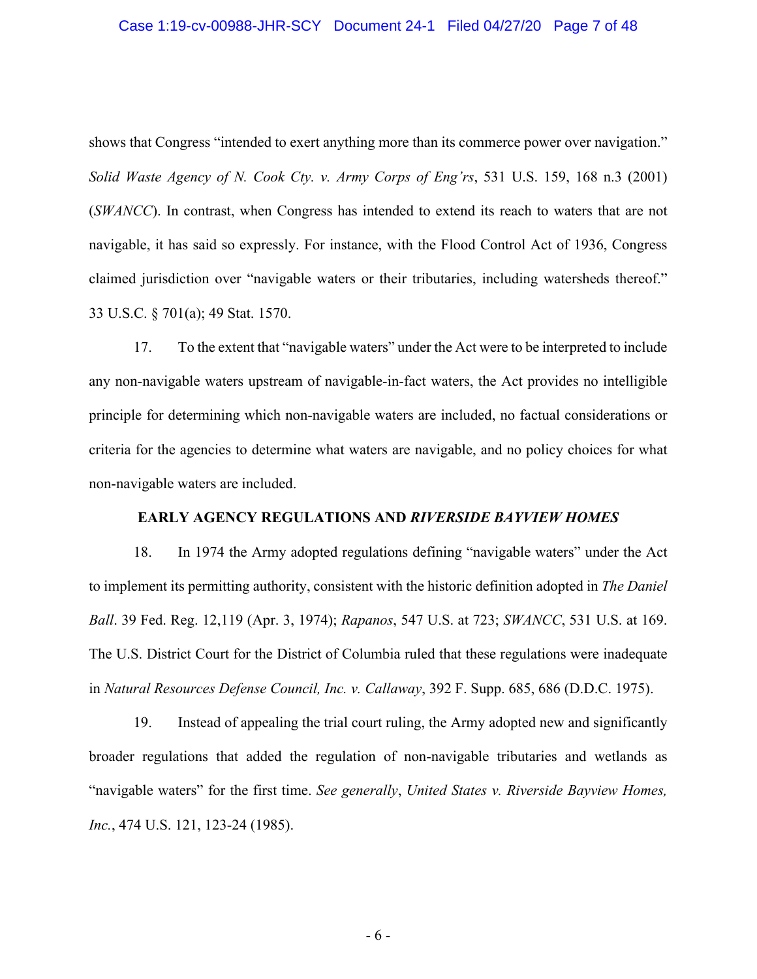#### Case 1:19-cv-00988-JHR-SCY Document 24-1 Filed 04/27/20 Page 7 of 48

shows that Congress "intended to exert anything more than its commerce power over navigation." *Solid Waste Agency of N. Cook Cty. v. Army Corps of Eng'rs*, 531 U.S. 159, 168 n.3 (2001) (*SWANCC*). In contrast, when Congress has intended to extend its reach to waters that are not navigable, it has said so expressly. For instance, with the Flood Control Act of 1936, Congress claimed jurisdiction over "navigable waters or their tributaries, including watersheds thereof." 33 U.S.C. § 701(a); 49 Stat. 1570.

17. To the extent that "navigable waters" under the Act were to be interpreted to include any non-navigable waters upstream of navigable-in-fact waters, the Act provides no intelligible principle for determining which non-navigable waters are included, no factual considerations or criteria for the agencies to determine what waters are navigable, and no policy choices for what non-navigable waters are included.

### **EARLY AGENCY REGULATIONS AND** *RIVERSIDE BAYVIEW HOMES*

18. In 1974 the Army adopted regulations defining "navigable waters" under the Act to implement its permitting authority, consistent with the historic definition adopted in *The Daniel Ball*. 39 Fed. Reg. 12,119 (Apr. 3, 1974); *Rapanos*, 547 U.S. at 723; *SWANCC*, 531 U.S. at 169. The U.S. District Court for the District of Columbia ruled that these regulations were inadequate in *Natural Resources Defense Council, Inc. v. Callaway*, 392 F. Supp. 685, 686 (D.D.C. 1975).

19. Instead of appealing the trial court ruling, the Army adopted new and significantly broader regulations that added the regulation of non-navigable tributaries and wetlands as "navigable waters" for the first time. *See generally*, *United States v. Riverside Bayview Homes, Inc.*, 474 U.S. 121, 123-24 (1985).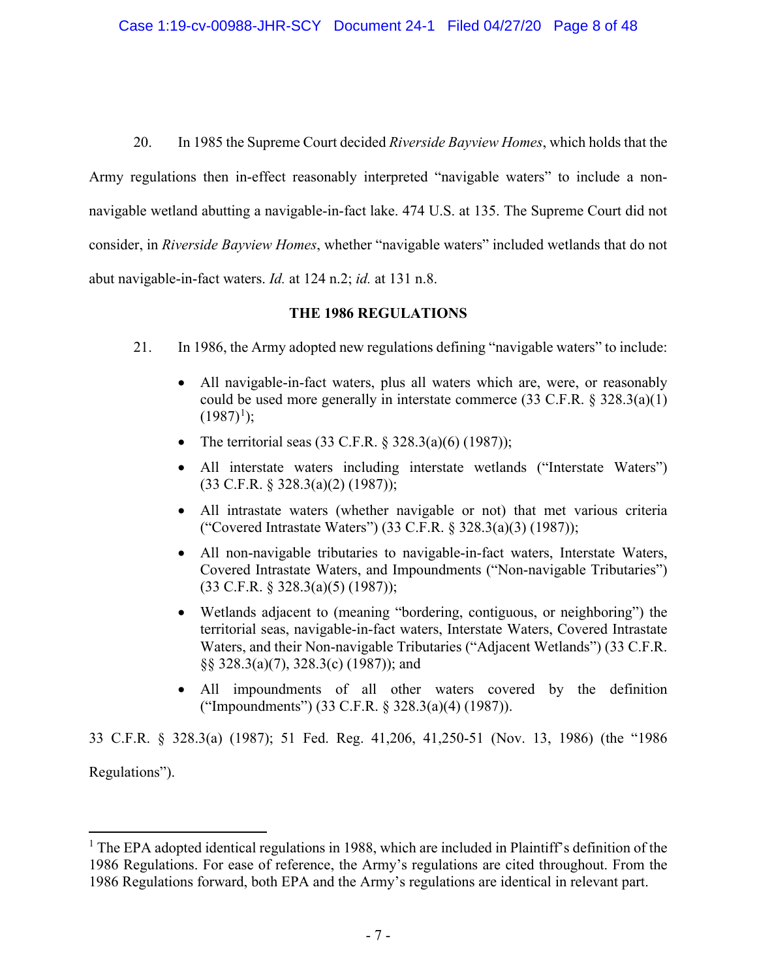20. In 1985 the Supreme Court decided *Riverside Bayview Homes*, which holds that the Army regulations then in-effect reasonably interpreted "navigable waters" to include a nonnavigable wetland abutting a navigable-in-fact lake. 474 U.S. at 135. The Supreme Court did not consider, in *Riverside Bayview Homes*, whether "navigable waters" included wetlands that do not abut navigable-in-fact waters. *Id.* at 124 n.2; *id.* at 131 n.8.

## **THE 1986 REGULATIONS**

- 21. In 1986, the Army adopted new regulations defining "navigable waters" to include:
	- All navigable-in-fact waters, plus all waters which are, were, or reasonably could be used more generally in interstate commerce  $(33 \text{ C.F.R. } § 328.3(a)(1))$  $(1987)^1$  $(1987)^1$  $(1987)^1$ ;
	- The territorial seas  $(33 \text{ C.F.R. } § 328.3(a)(6) (1987));$
	- All interstate waters including interstate wetlands ("Interstate Waters") (33 C.F.R. § 328.3(a)(2) (1987));
	- All intrastate waters (whether navigable or not) that met various criteria ("Covered Intrastate Waters") (33 C.F.R. § 328.3(a)(3) (1987));
	- All non-navigable tributaries to navigable-in-fact waters, Interstate Waters, Covered Intrastate Waters, and Impoundments ("Non-navigable Tributaries") (33 C.F.R. § 328.3(a)(5) (1987));
	- Wetlands adjacent to (meaning "bordering, contiguous, or neighboring") the territorial seas, navigable-in-fact waters, Interstate Waters, Covered Intrastate Waters, and their Non-navigable Tributaries ("Adjacent Wetlands") (33 C.F.R. §§ 328.3(a)(7), 328.3(c) (1987)); and
	- All impoundments of all other waters covered by the definition ("Impoundments") (33 C.F.R. § 328.3(a)(4) (1987)).

33 C.F.R. § 328.3(a) (1987); 51 Fed. Reg. 41,206, 41,250-51 (Nov. 13, 1986) (the "1986 Regulations").

<span id="page-6-0"></span> $<sup>1</sup>$  The EPA adopted identical regulations in 1988, which are included in Plaintiff's definition of the</sup> 1986 Regulations. For ease of reference, the Army's regulations are cited throughout. From the 1986 Regulations forward, both EPA and the Army's regulations are identical in relevant part.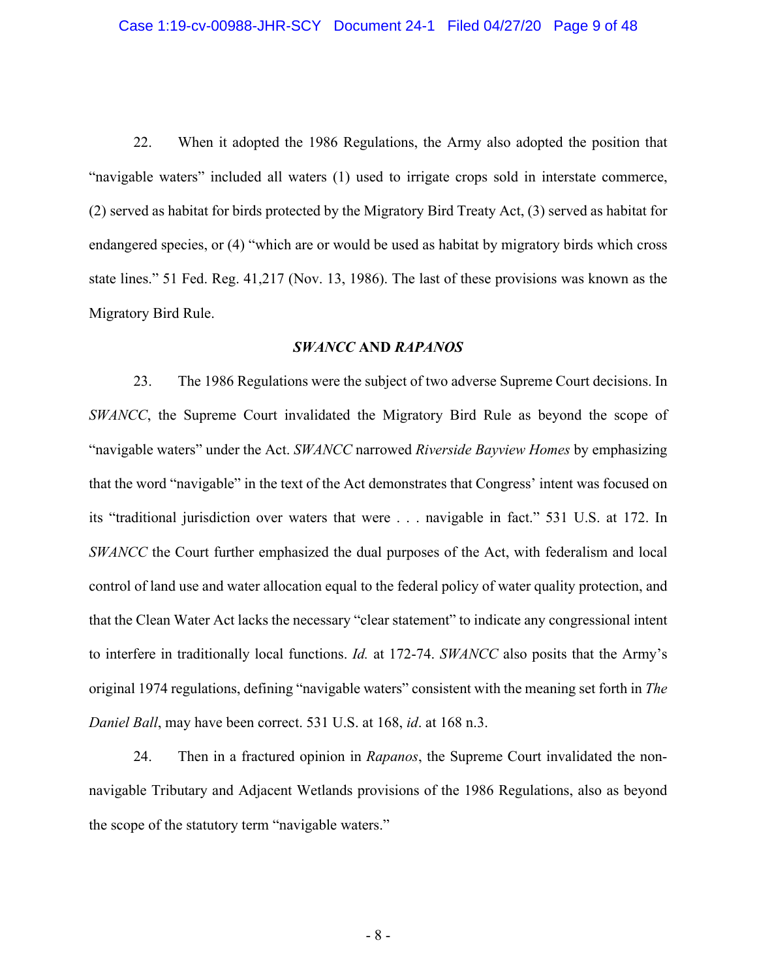22. When it adopted the 1986 Regulations, the Army also adopted the position that "navigable waters" included all waters (1) used to irrigate crops sold in interstate commerce, (2) served as habitat for birds protected by the Migratory Bird Treaty Act, (3) served as habitat for endangered species, or (4) "which are or would be used as habitat by migratory birds which cross state lines." 51 Fed. Reg. 41,217 (Nov. 13, 1986). The last of these provisions was known as the Migratory Bird Rule.

#### *SWANCC* **AND** *RAPANOS*

23. The 1986 Regulations were the subject of two adverse Supreme Court decisions. In *SWANCC*, the Supreme Court invalidated the Migratory Bird Rule as beyond the scope of "navigable waters" under the Act. *SWANCC* narrowed *Riverside Bayview Homes* by emphasizing that the word "navigable" in the text of the Act demonstrates that Congress' intent was focused on its "traditional jurisdiction over waters that were . . . navigable in fact." 531 U.S. at 172. In *SWANCC* the Court further emphasized the dual purposes of the Act, with federalism and local control of land use and water allocation equal to the federal policy of water quality protection, and that the Clean Water Act lacks the necessary "clear statement" to indicate any congressional intent to interfere in traditionally local functions. *Id.* at 172-74. *SWANCC* also posits that the Army's original 1974 regulations, defining "navigable waters" consistent with the meaning set forth in *The Daniel Ball*, may have been correct. 531 U.S. at 168, *id*. at 168 n.3.

24. Then in a fractured opinion in *Rapanos*, the Supreme Court invalidated the nonnavigable Tributary and Adjacent Wetlands provisions of the 1986 Regulations, also as beyond the scope of the statutory term "navigable waters."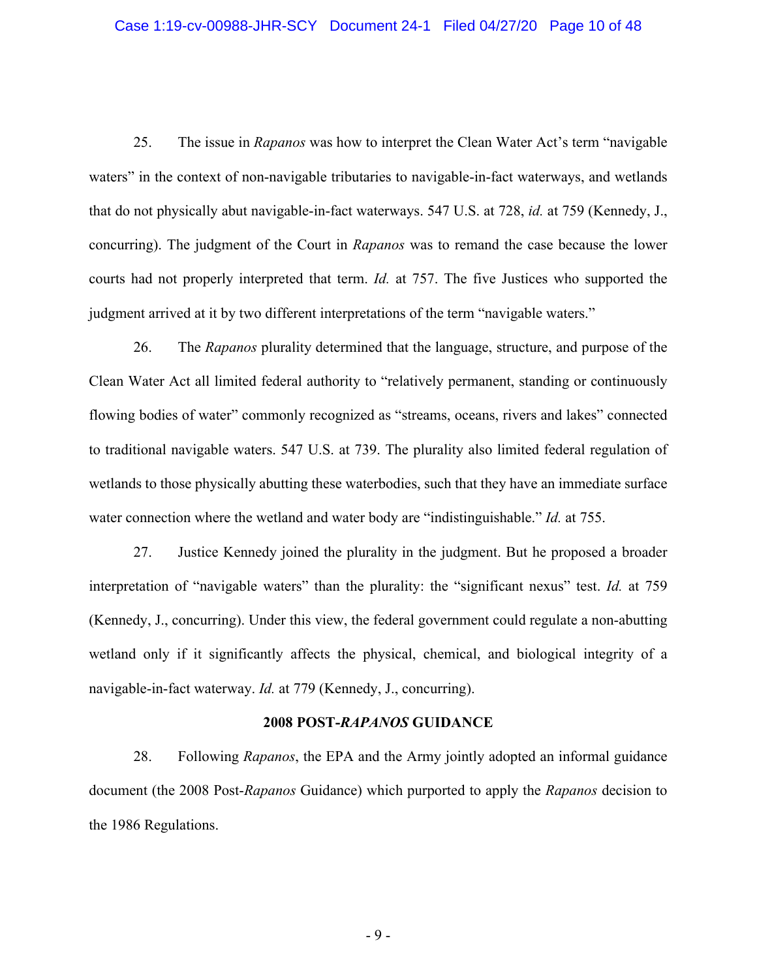#### Case 1:19-cv-00988-JHR-SCY Document 24-1 Filed 04/27/20 Page 10 of 48

25. The issue in *Rapanos* was how to interpret the Clean Water Act's term "navigable waters" in the context of non-navigable tributaries to navigable-in-fact waterways, and wetlands that do not physically abut navigable-in-fact waterways. 547 U.S. at 728, *id.* at 759 (Kennedy, J., concurring). The judgment of the Court in *Rapanos* was to remand the case because the lower courts had not properly interpreted that term. *Id.* at 757. The five Justices who supported the judgment arrived at it by two different interpretations of the term "navigable waters."

26. The *Rapanos* plurality determined that the language, structure, and purpose of the Clean Water Act all limited federal authority to "relatively permanent, standing or continuously flowing bodies of water" commonly recognized as "streams, oceans, rivers and lakes" connected to traditional navigable waters. 547 U.S. at 739. The plurality also limited federal regulation of wetlands to those physically abutting these waterbodies, such that they have an immediate surface water connection where the wetland and water body are "indistinguishable." *Id.* at 755.

27. Justice Kennedy joined the plurality in the judgment. But he proposed a broader interpretation of "navigable waters" than the plurality: the "significant nexus" test. *Id.* at 759 (Kennedy, J., concurring). Under this view, the federal government could regulate a non-abutting wetland only if it significantly affects the physical, chemical, and biological integrity of a navigable-in-fact waterway. *Id.* at 779 (Kennedy, J., concurring).

#### **2008 POST-***RAPANOS* **GUIDANCE**

28. Following *Rapanos*, the EPA and the Army jointly adopted an informal guidance document (the 2008 Post-*Rapanos* Guidance) which purported to apply the *Rapanos* decision to the 1986 Regulations.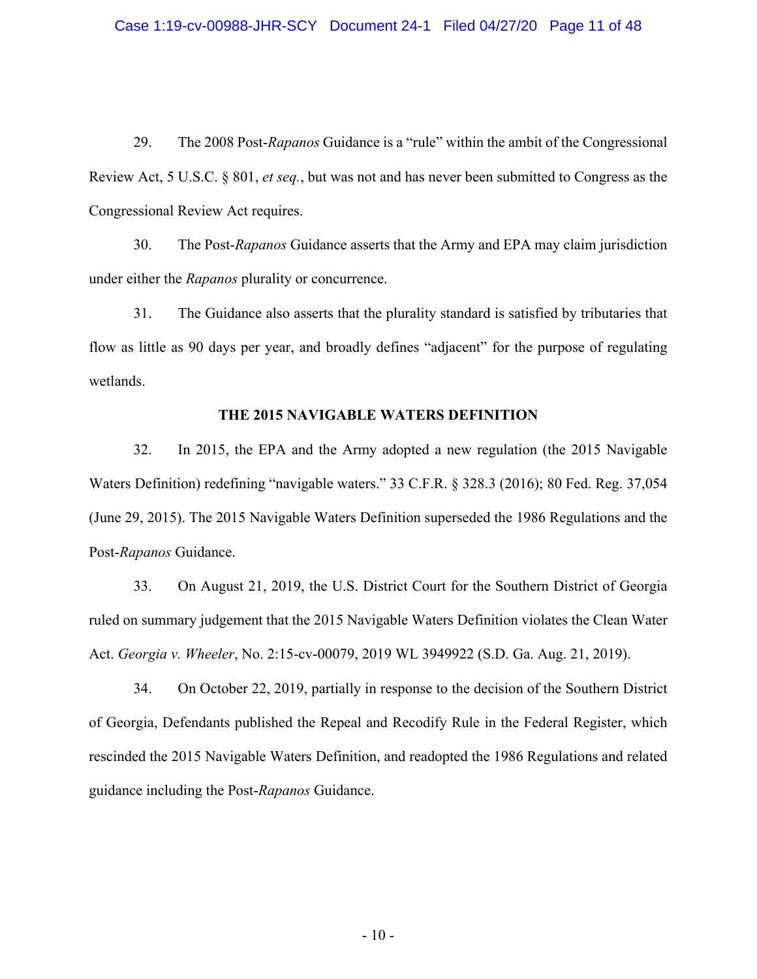29. The 2008 Post-*Rapanos* Guidance is a "rule" within the ambit of the Congressional Review Act, 5 U.S.C. § 801, *et seq.*, but was not and has never been submitted to Congress as the Congressional Review Act requires.

30. The Post-*Rapanos* Guidance asserts that the Army and EPA may claim jurisdiction under either the *Rapanos* plurality or concurrence.

31. The Guidance also asserts that the plurality standard is satisfied by tributaries that flow as little as 90 days per year, and broadly defines "adjacent" for the purpose of regulating wetlands.

#### **THE 2015 NAVIGABLE WATERS DEFINITION**

32. In 2015, the EPA and the Army adopted a new regulation (the 2015 Navigable Waters Definition) redefining "navigable waters." 33 C.F.R. § 328.3 (2016); 80 Fed. Reg. 37,054 (June 29, 2015). The 2015 Navigable Waters Definition superseded the 1986 Regulations and the Post-*Rapanos* Guidance.

33. On August 21, 2019, the U.S. District Court for the Southern District of Georgia ruled on summary judgement that the 2015 Navigable Waters Definition violates the Clean Water Act. *Georgia v. Wheeler*, No. 2:15-cv-00079, 2019 WL 3949922 (S.D. Ga. Aug. 21, 2019).

34. On October 22, 2019, partially in response to the decision of the Southern District of Georgia, Defendants published the Repeal and Recodify Rule in the Federal Register, which rescinded the 2015 Navigable Waters Definition, and readopted the 1986 Regulations and related guidance including the Post-*Rapanos* Guidance.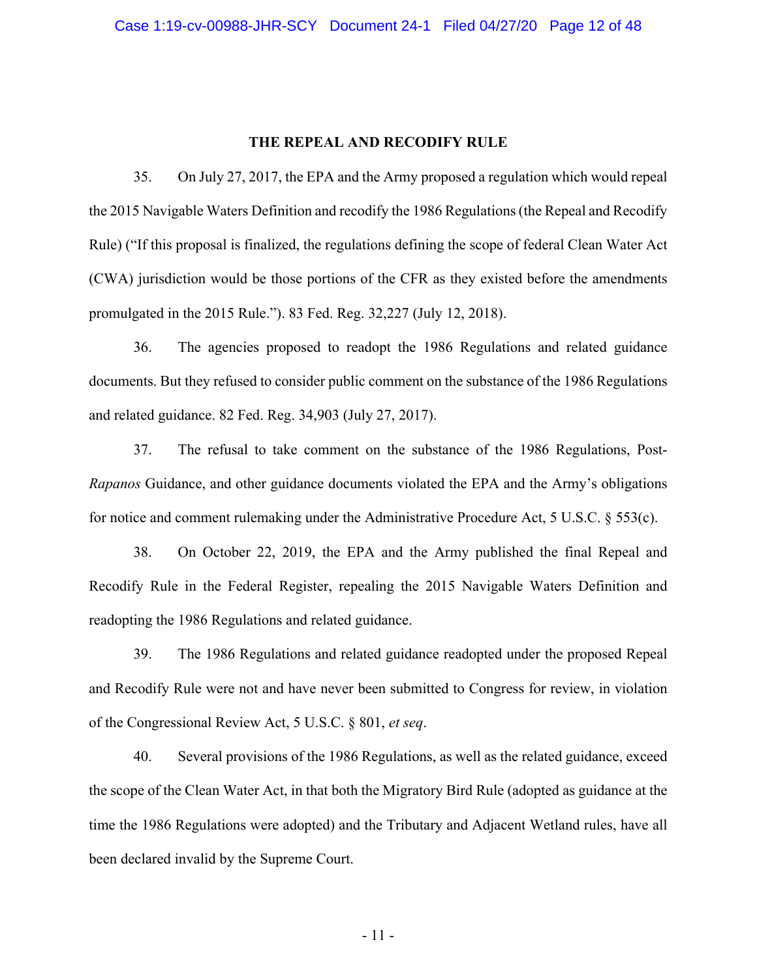#### **THE REPEAL AND RECODIFY RULE**

35. On July 27, 2017, the EPA and the Army proposed a regulation which would repeal the 2015 Navigable Waters Definition and recodify the 1986 Regulations (the Repeal and Recodify Rule) ("If this proposal is finalized, the regulations defining the scope of federal Clean Water Act (CWA) jurisdiction would be those portions of the CFR as they existed before the amendments promulgated in the 2015 Rule."). 83 Fed. Reg. 32,227 (July 12, 2018).

36. The agencies proposed to readopt the 1986 Regulations and related guidance documents. But they refused to consider public comment on the substance of the 1986 Regulations and related guidance. 82 Fed. Reg. 34,903 (July 27, 2017).

37. The refusal to take comment on the substance of the 1986 Regulations, Post-*Rapanos* Guidance, and other guidance documents violated the EPA and the Army's obligations for notice and comment rulemaking under the Administrative Procedure Act, 5 U.S.C. § 553(c).

38. On October 22, 2019, the EPA and the Army published the final Repeal and Recodify Rule in the Federal Register, repealing the 2015 Navigable Waters Definition and readopting the 1986 Regulations and related guidance.

39. The 1986 Regulations and related guidance readopted under the proposed Repeal and Recodify Rule were not and have never been submitted to Congress for review, in violation of the Congressional Review Act, 5 U.S.C. § 801, *et seq*.

40. Several provisions of the 1986 Regulations, as well as the related guidance, exceed the scope of the Clean Water Act, in that both the Migratory Bird Rule (adopted as guidance at the time the 1986 Regulations were adopted) and the Tributary and Adjacent Wetland rules, have all been declared invalid by the Supreme Court.

- 11 -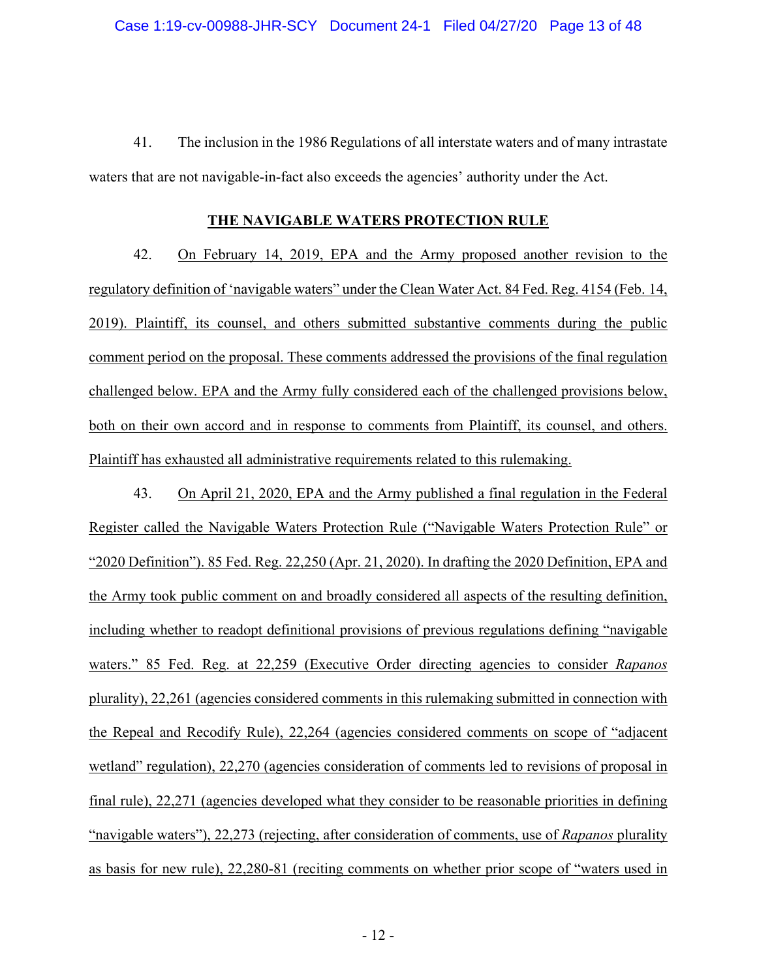41. The inclusion in the 1986 Regulations of all interstate waters and of many intrastate waters that are not navigable-in-fact also exceeds the agencies' authority under the Act.

#### **THE NAVIGABLE WATERS PROTECTION RULE**

42. On February 14, 2019, EPA and the Army proposed another revision to the regulatory definition of 'navigable waters" under the Clean Water Act. 84 Fed. Reg. 4154 (Feb. 14, 2019). Plaintiff, its counsel, and others submitted substantive comments during the public comment period on the proposal. These comments addressed the provisions of the final regulation challenged below. EPA and the Army fully considered each of the challenged provisions below, both on their own accord and in response to comments from Plaintiff, its counsel, and others. Plaintiff has exhausted all administrative requirements related to this rulemaking.

43. On April 21, 2020, EPA and the Army published a final regulation in the Federal Register called the Navigable Waters Protection Rule ("Navigable Waters Protection Rule" or "2020 Definition"). 85 Fed. Reg. 22,250 (Apr. 21, 2020). In drafting the 2020 Definition, EPA and the Army took public comment on and broadly considered all aspects of the resulting definition, including whether to readopt definitional provisions of previous regulations defining "navigable waters." 85 Fed. Reg. at 22,259 (Executive Order directing agencies to consider *Rapanos* plurality), 22,261 (agencies considered comments in this rulemaking submitted in connection with the Repeal and Recodify Rule), 22,264 (agencies considered comments on scope of "adjacent wetland" regulation), 22,270 (agencies consideration of comments led to revisions of proposal in final rule), 22,271 (agencies developed what they consider to be reasonable priorities in defining "navigable waters"), 22,273 (rejecting, after consideration of comments, use of *Rapanos* plurality as basis for new rule), 22,280-81 (reciting comments on whether prior scope of "waters used in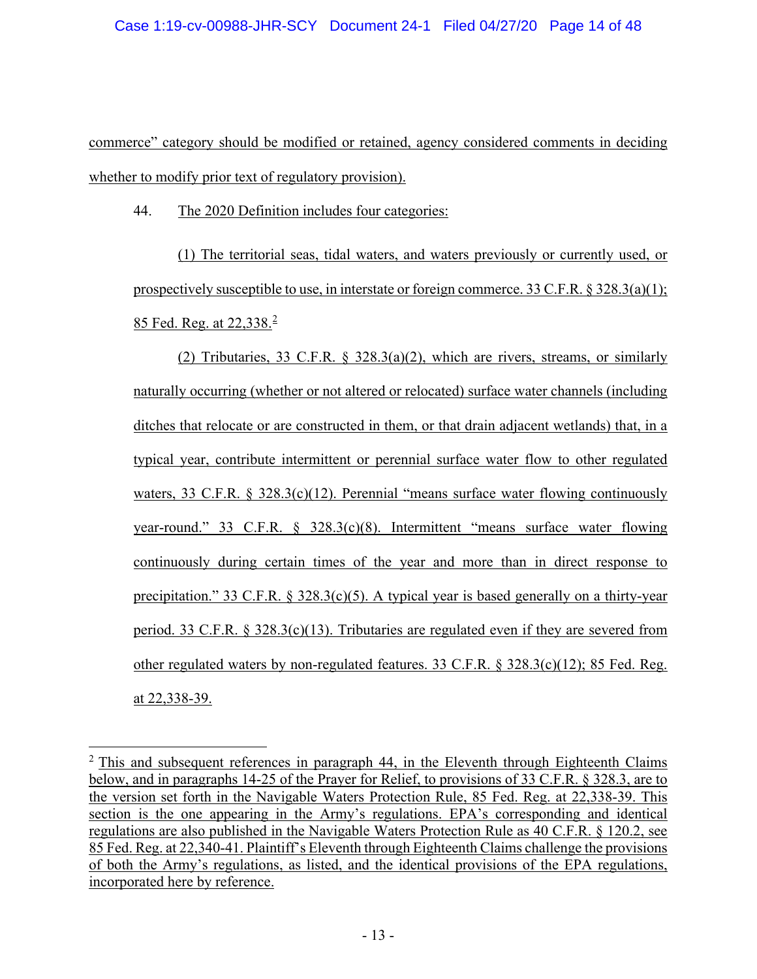commerce" category should be modified or retained, agency considered comments in deciding whether to modify prior text of regulatory provision).

44. The 2020 Definition includes four categories:

(1) The territorial seas, tidal waters, and waters previously or currently used, or prospectively susceptible to use, in interstate or foreign commerce. 33 C.F.R.  $\S 328.3(a)(1)$ ; 85 Fed. Reg. at [2](#page-12-0)2,338.<sup>2</sup>

(2) Tributaries, 33 C.F.R. § 328.3(a)(2), which are rivers, streams, or similarly naturally occurring (whether or not altered or relocated) surface water channels (including ditches that relocate or are constructed in them, or that drain adjacent wetlands) that, in a typical year, contribute intermittent or perennial surface water flow to other regulated waters, 33 C.F.R. § 328.3(c)(12). Perennial "means surface water flowing continuously year-round." 33 C.F.R. § 328.3(c)(8). Intermittent "means surface water flowing continuously during certain times of the year and more than in direct response to precipitation." 33 C.F.R.  $\S$  328.3(c)(5). A typical year is based generally on a thirty-year period. 33 C.F.R. § 328.3(c)(13). Tributaries are regulated even if they are severed from other regulated waters by non-regulated features. 33 C.F.R. § 328.3(c)(12); 85 Fed. Reg. at 22,338-39.

<span id="page-12-0"></span> $2$  This and subsequent references in paragraph 44, in the Eleventh through Eighteenth Claims below, and in paragraphs 14-25 of the Prayer for Relief, to provisions of 33 C.F.R. § 328.3, are to the version set forth in the Navigable Waters Protection Rule, 85 Fed. Reg. at 22,338-39. This section is the one appearing in the Army's regulations. EPA's corresponding and identical regulations are also published in the Navigable Waters Protection Rule as 40 C.F.R. § 120.2, see 85 Fed. Reg. at 22,340-41. Plaintiff's Eleventh through Eighteenth Claims challenge the provisions of both the Army's regulations, as listed, and the identical provisions of the EPA regulations, incorporated here by reference.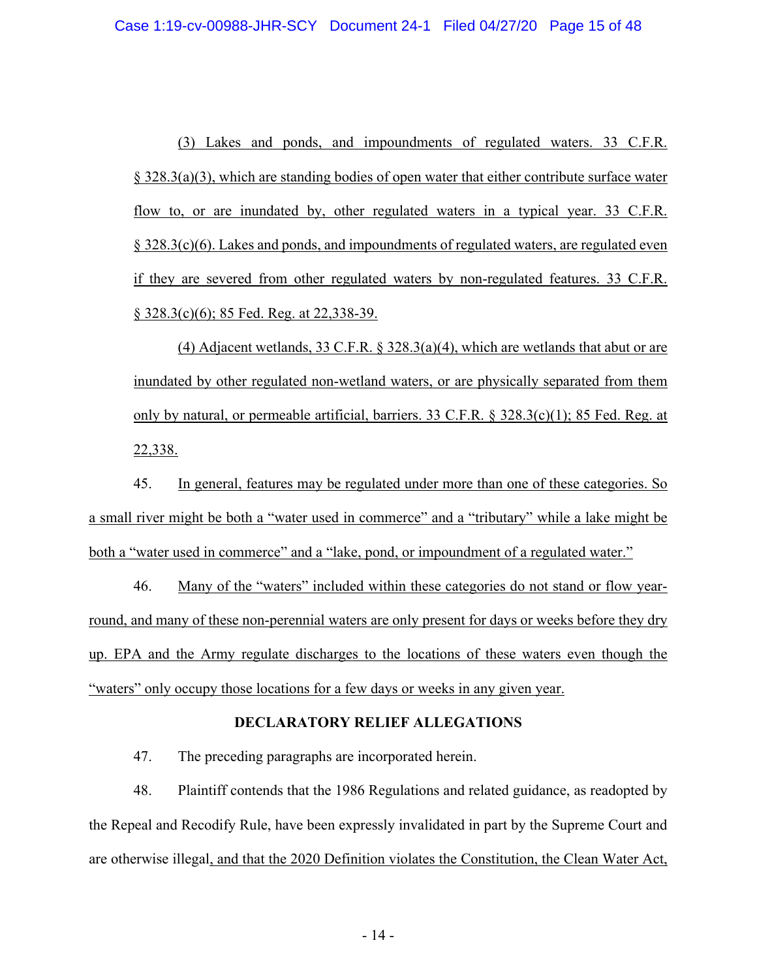(3) Lakes and ponds, and impoundments of regulated waters. 33 C.F.R. § 328.3(a)(3), which are standing bodies of open water that either contribute surface water flow to, or are inundated by, other regulated waters in a typical year. 33 C.F.R. § 328.3(c)(6). Lakes and ponds, and impoundments of regulated waters, are regulated even if they are severed from other regulated waters by non-regulated features. 33 C.F.R. § 328.3(c)(6); 85 Fed. Reg. at 22,338-39.

(4) Adjacent wetlands, 33 C.F.R. § 328.3(a)(4), which are wetlands that abut or are inundated by other regulated non-wetland waters, or are physically separated from them only by natural, or permeable artificial, barriers. 33 C.F.R. § 328.3(c)(1); 85 Fed. Reg. at 22,338.

45. In general, features may be regulated under more than one of these categories. So a small river might be both a "water used in commerce" and a "tributary" while a lake might be both a "water used in commerce" and a "lake, pond, or impoundment of a regulated water."

46. Many of the "waters" included within these categories do not stand or flow yearround, and many of these non-perennial waters are only present for days or weeks before they dry up. EPA and the Army regulate discharges to the locations of these waters even though the "waters" only occupy those locations for a few days or weeks in any given year.

#### **DECLARATORY RELIEF ALLEGATIONS**

47. The preceding paragraphs are incorporated herein.

48. Plaintiff contends that the 1986 Regulations and related guidance, as readopted by the Repeal and Recodify Rule, have been expressly invalidated in part by the Supreme Court and are otherwise illegal, and that the 2020 Definition violates the Constitution, the Clean Water Act,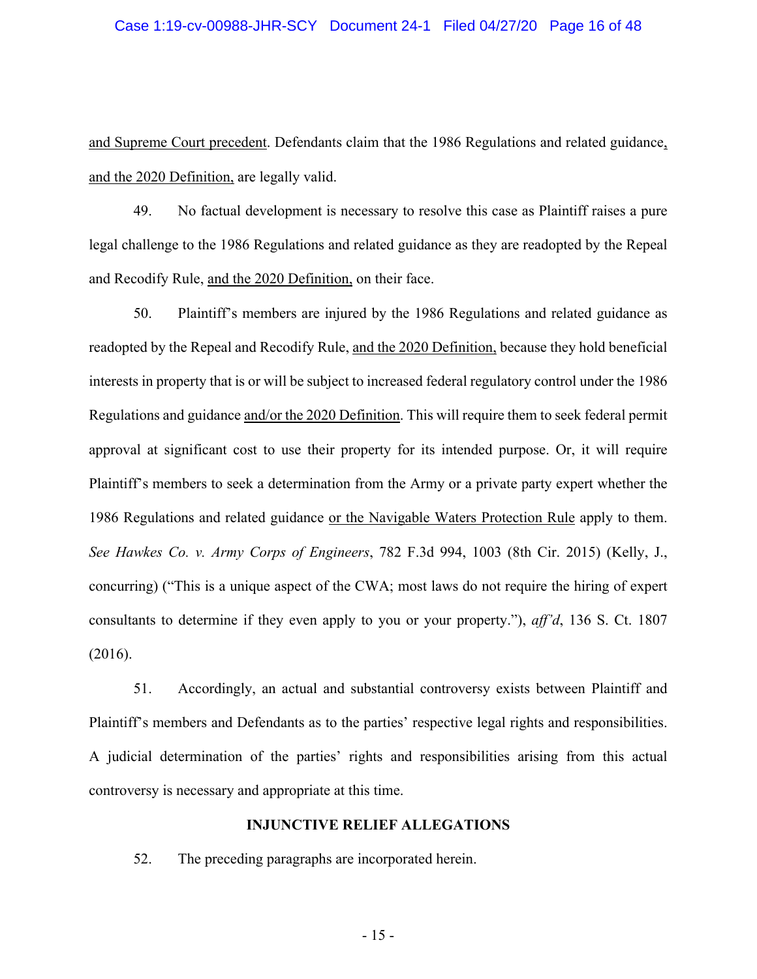#### Case 1:19-cv-00988-JHR-SCY Document 24-1 Filed 04/27/20 Page 16 of 48

and Supreme Court precedent. Defendants claim that the 1986 Regulations and related guidance, and the 2020 Definition, are legally valid.

49. No factual development is necessary to resolve this case as Plaintiff raises a pure legal challenge to the 1986 Regulations and related guidance as they are readopted by the Repeal and Recodify Rule, and the 2020 Definition, on their face.

50. Plaintiff's members are injured by the 1986 Regulations and related guidance as readopted by the Repeal and Recodify Rule, and the 2020 Definition, because they hold beneficial interests in property that is or will be subject to increased federal regulatory control under the 1986 Regulations and guidance and/or the 2020 Definition. This will require them to seek federal permit approval at significant cost to use their property for its intended purpose. Or, it will require Plaintiff's members to seek a determination from the Army or a private party expert whether the 1986 Regulations and related guidance or the Navigable Waters Protection Rule apply to them. *See Hawkes Co. v. Army Corps of Engineers*, 782 F.3d 994, 1003 (8th Cir. 2015) (Kelly, J., concurring) ("This is a unique aspect of the CWA; most laws do not require the hiring of expert consultants to determine if they even apply to you or your property."), *aff'd*, 136 S. Ct. 1807 (2016).

51. Accordingly, an actual and substantial controversy exists between Plaintiff and Plaintiff's members and Defendants as to the parties' respective legal rights and responsibilities. A judicial determination of the parties' rights and responsibilities arising from this actual controversy is necessary and appropriate at this time.

### **INJUNCTIVE RELIEF ALLEGATIONS**

52. The preceding paragraphs are incorporated herein.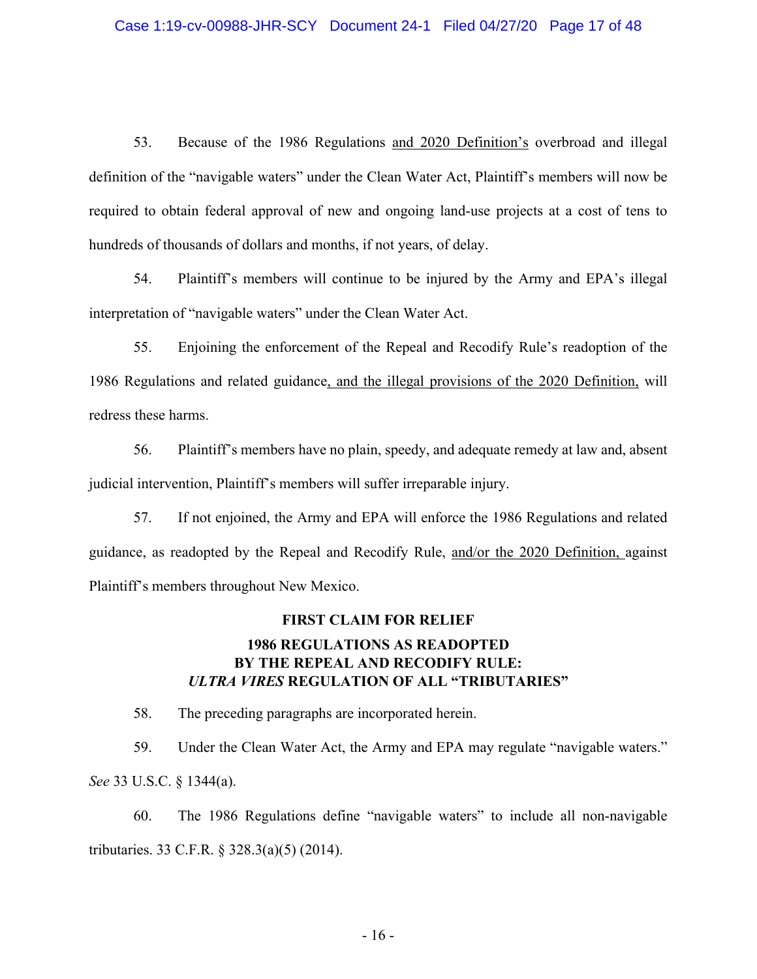53. Because of the 1986 Regulations and 2020 Definition's overbroad and illegal definition of the "navigable waters" under the Clean Water Act, Plaintiff's members will now be required to obtain federal approval of new and ongoing land-use projects at a cost of tens to hundreds of thousands of dollars and months, if not years, of delay.

54. Plaintiff's members will continue to be injured by the Army and EPA's illegal interpretation of "navigable waters" under the Clean Water Act.

55. Enjoining the enforcement of the Repeal and Recodify Rule's readoption of the 1986 Regulations and related guidance, and the illegal provisions of the 2020 Definition, will redress these harms.

56. Plaintiff's members have no plain, speedy, and adequate remedy at law and, absent judicial intervention, Plaintiff's members will suffer irreparable injury.

57. If not enjoined, the Army and EPA will enforce the 1986 Regulations and related guidance, as readopted by the Repeal and Recodify Rule, and/or the 2020 Definition, against Plaintiff's members throughout New Mexico.

# **FIRST CLAIM FOR RELIEF 1986 REGULATIONS AS READOPTED BY THE REPEAL AND RECODIFY RULE:** *ULTRA VIRES* **REGULATION OF ALL "TRIBUTARIES"**

58. The preceding paragraphs are incorporated herein.

59. Under the Clean Water Act, the Army and EPA may regulate "navigable waters." *See* 33 U.S.C. § 1344(a).

60. The 1986 Regulations define "navigable waters" to include all non-navigable tributaries. 33 C.F.R. § 328.3(a)(5) (2014).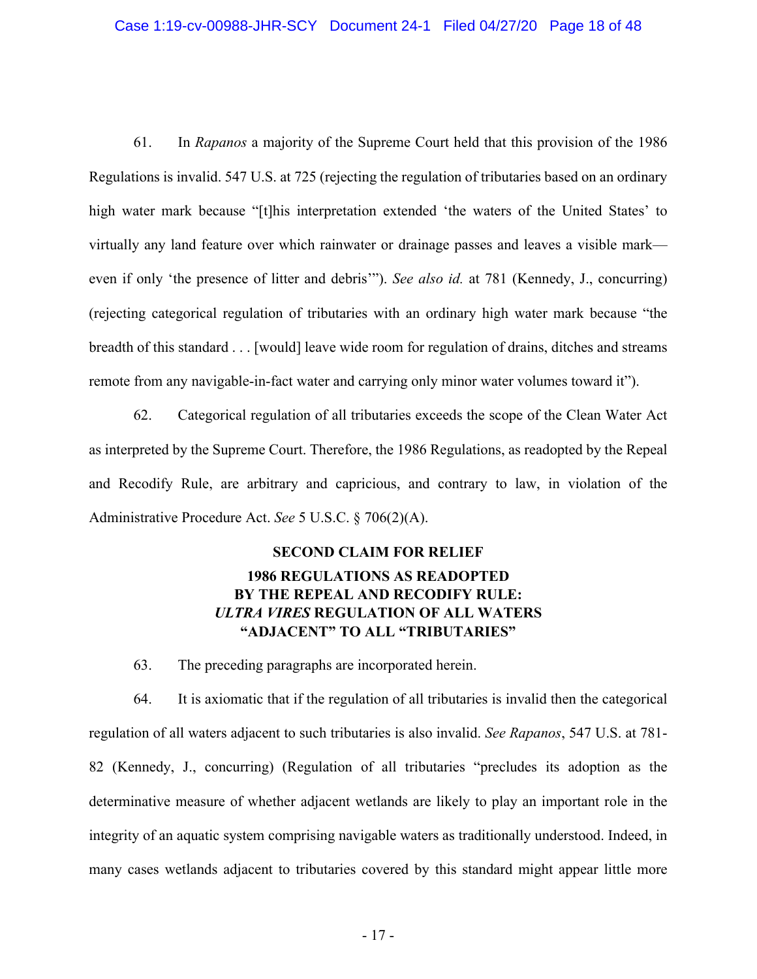#### Case 1:19-cv-00988-JHR-SCY Document 24-1 Filed 04/27/20 Page 18 of 48

61. In *Rapanos* a majority of the Supreme Court held that this provision of the 1986 Regulations is invalid. 547 U.S. at 725 (rejecting the regulation of tributaries based on an ordinary high water mark because "[t]his interpretation extended 'the waters of the United States' to virtually any land feature over which rainwater or drainage passes and leaves a visible mark even if only 'the presence of litter and debris'"). *See also id.* at 781 (Kennedy, J., concurring) (rejecting categorical regulation of tributaries with an ordinary high water mark because "the breadth of this standard . . . [would] leave wide room for regulation of drains, ditches and streams remote from any navigable-in-fact water and carrying only minor water volumes toward it").

62. Categorical regulation of all tributaries exceeds the scope of the Clean Water Act as interpreted by the Supreme Court. Therefore, the 1986 Regulations, as readopted by the Repeal and Recodify Rule, are arbitrary and capricious, and contrary to law, in violation of the Administrative Procedure Act. *See* 5 U.S.C. § 706(2)(A).

# **SECOND CLAIM FOR RELIEF 1986 REGULATIONS AS READOPTED BY THE REPEAL AND RECODIFY RULE:** *ULTRA VIRES* **REGULATION OF ALL WATERS "ADJACENT" TO ALL "TRIBUTARIES"**

63. The preceding paragraphs are incorporated herein.

64. It is axiomatic that if the regulation of all tributaries is invalid then the categorical regulation of all waters adjacent to such tributaries is also invalid. *See Rapanos*, 547 U.S. at 781- 82 (Kennedy, J., concurring) (Regulation of all tributaries "precludes its adoption as the determinative measure of whether adjacent wetlands are likely to play an important role in the integrity of an aquatic system comprising navigable waters as traditionally understood. Indeed, in many cases wetlands adjacent to tributaries covered by this standard might appear little more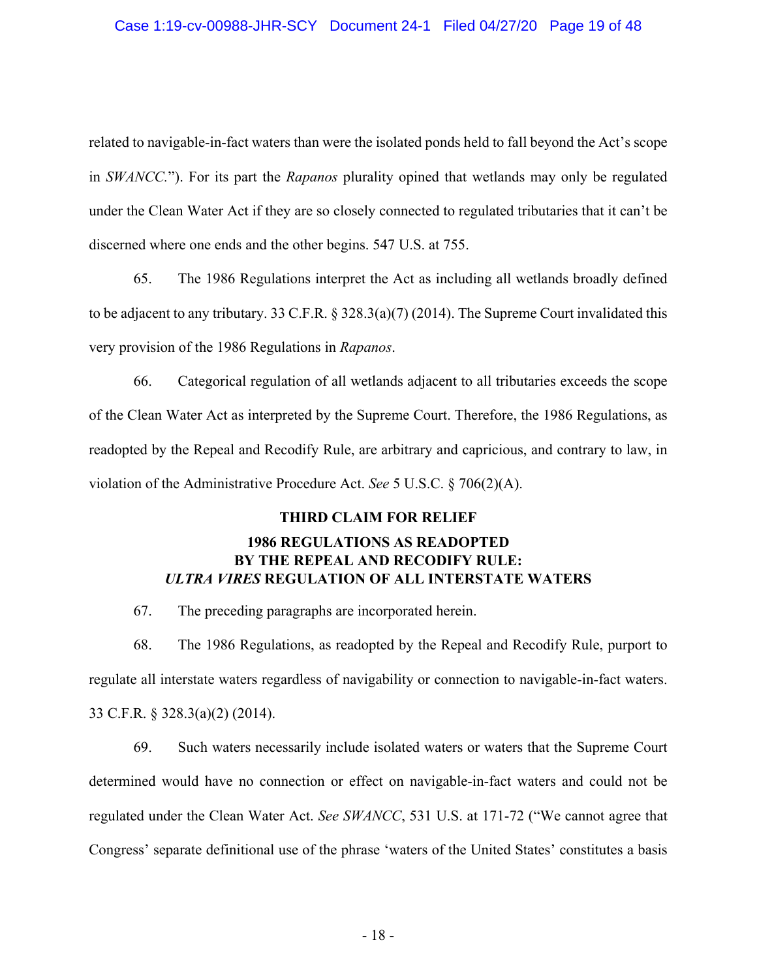### Case 1:19-cv-00988-JHR-SCY Document 24-1 Filed 04/27/20 Page 19 of 48

related to navigable-in-fact waters than were the isolated ponds held to fall beyond the Act's scope in *SWANCC.*"). For its part the *Rapanos* plurality opined that wetlands may only be regulated under the Clean Water Act if they are so closely connected to regulated tributaries that it can't be discerned where one ends and the other begins. 547 U.S. at 755.

65. The 1986 Regulations interpret the Act as including all wetlands broadly defined to be adjacent to any tributary. 33 C.F.R.  $\S 328.3(a)(7)$  (2014). The Supreme Court invalidated this very provision of the 1986 Regulations in *Rapanos*.

66. Categorical regulation of all wetlands adjacent to all tributaries exceeds the scope of the Clean Water Act as interpreted by the Supreme Court. Therefore, the 1986 Regulations, as readopted by the Repeal and Recodify Rule, are arbitrary and capricious, and contrary to law, in violation of the Administrative Procedure Act. *See* 5 U.S.C. § 706(2)(A).

### **THIRD CLAIM FOR RELIEF**

## **1986 REGULATIONS AS READOPTED BY THE REPEAL AND RECODIFY RULE:** *ULTRA VIRES* **REGULATION OF ALL INTERSTATE WATERS**

67. The preceding paragraphs are incorporated herein.

68. The 1986 Regulations, as readopted by the Repeal and Recodify Rule, purport to regulate all interstate waters regardless of navigability or connection to navigable-in-fact waters. 33 C.F.R. § 328.3(a)(2) (2014).

69. Such waters necessarily include isolated waters or waters that the Supreme Court determined would have no connection or effect on navigable-in-fact waters and could not be regulated under the Clean Water Act. *See SWANCC*, 531 U.S. at 171-72 ("We cannot agree that Congress' separate definitional use of the phrase 'waters of the United States' constitutes a basis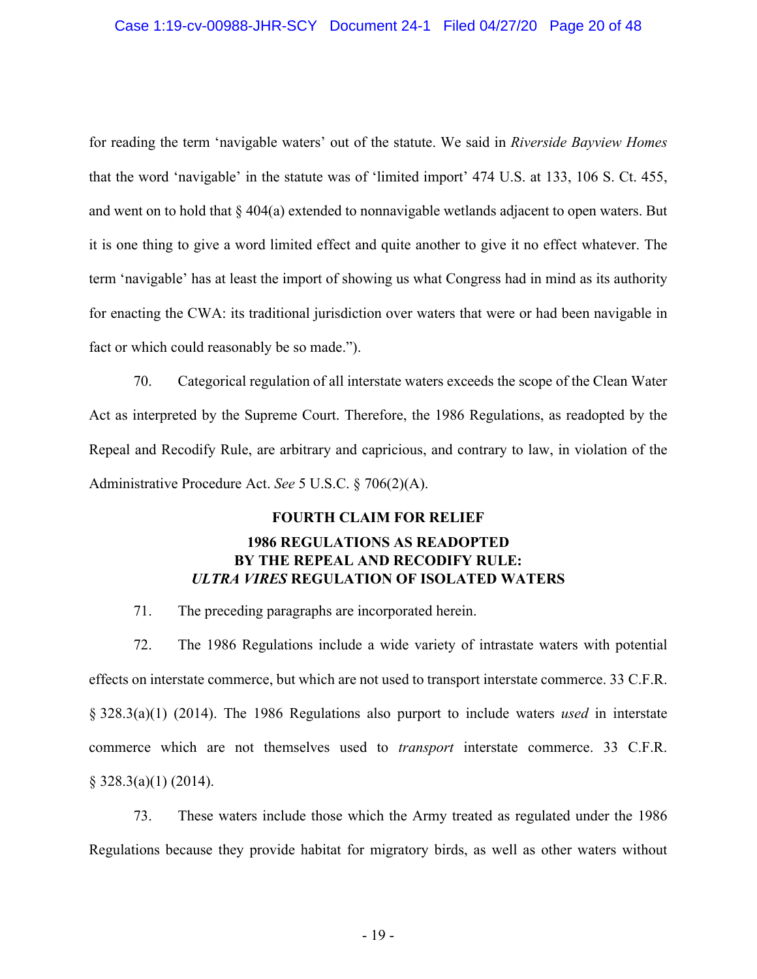#### Case 1:19-cv-00988-JHR-SCY Document 24-1 Filed 04/27/20 Page 20 of 48

for reading the term 'navigable waters' out of the statute. We said in *Riverside Bayview Homes*  that the word 'navigable' in the statute was of 'limited import' 474 U.S. at 133, 106 S. Ct. 455, and went on to hold that § 404(a) extended to nonnavigable wetlands adjacent to open waters. But it is one thing to give a word limited effect and quite another to give it no effect whatever. The term 'navigable' has at least the import of showing us what Congress had in mind as its authority for enacting the CWA: its traditional jurisdiction over waters that were or had been navigable in fact or which could reasonably be so made.").

70. Categorical regulation of all interstate waters exceeds the scope of the Clean Water Act as interpreted by the Supreme Court. Therefore, the 1986 Regulations, as readopted by the Repeal and Recodify Rule, are arbitrary and capricious, and contrary to law, in violation of the Administrative Procedure Act. *See* 5 U.S.C. § 706(2)(A).

### **FOURTH CLAIM FOR RELIEF**

## **1986 REGULATIONS AS READOPTED BY THE REPEAL AND RECODIFY RULE:** *ULTRA VIRES* **REGULATION OF ISOLATED WATERS**

71. The preceding paragraphs are incorporated herein.

72. The 1986 Regulations include a wide variety of intrastate waters with potential effects on interstate commerce, but which are not used to transport interstate commerce. 33 C.F.R. § 328.3(a)(1) (2014). The 1986 Regulations also purport to include waters *used* in interstate commerce which are not themselves used to *transport* interstate commerce. 33 C.F.R.  $§$  328.3(a)(1) (2014).

73. These waters include those which the Army treated as regulated under the 1986 Regulations because they provide habitat for migratory birds, as well as other waters without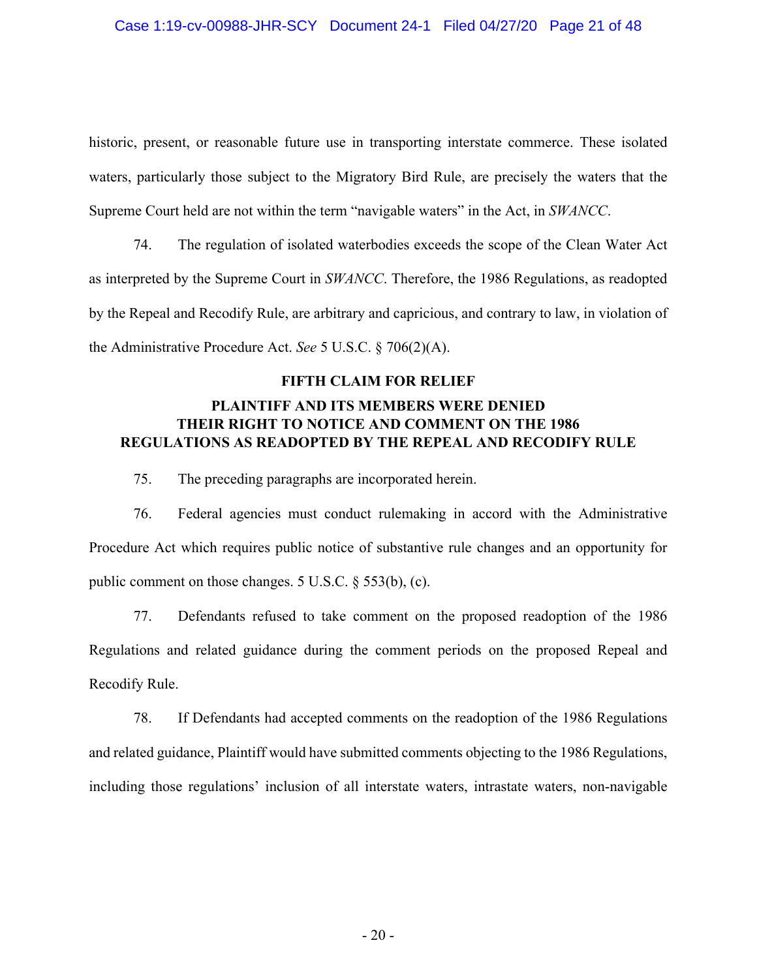historic, present, or reasonable future use in transporting interstate commerce. These isolated waters, particularly those subject to the Migratory Bird Rule, are precisely the waters that the Supreme Court held are not within the term "navigable waters" in the Act, in *SWANCC*.

74. The regulation of isolated waterbodies exceeds the scope of the Clean Water Act as interpreted by the Supreme Court in *SWANCC*. Therefore, the 1986 Regulations, as readopted by the Repeal and Recodify Rule, are arbitrary and capricious, and contrary to law, in violation of the Administrative Procedure Act. *See* 5 U.S.C. § 706(2)(A).

### **FIFTH CLAIM FOR RELIEF**

## **PLAINTIFF AND ITS MEMBERS WERE DENIED THEIR RIGHT TO NOTICE AND COMMENT ON THE 1986 REGULATIONS AS READOPTED BY THE REPEAL AND RECODIFY RULE**

75. The preceding paragraphs are incorporated herein.

76. Federal agencies must conduct rulemaking in accord with the Administrative Procedure Act which requires public notice of substantive rule changes and an opportunity for public comment on those changes. 5 U.S.C. § 553(b), (c).

77. Defendants refused to take comment on the proposed readoption of the 1986 Regulations and related guidance during the comment periods on the proposed Repeal and Recodify Rule.

78. If Defendants had accepted comments on the readoption of the 1986 Regulations and related guidance, Plaintiff would have submitted comments objecting to the 1986 Regulations, including those regulations' inclusion of all interstate waters, intrastate waters, non-navigable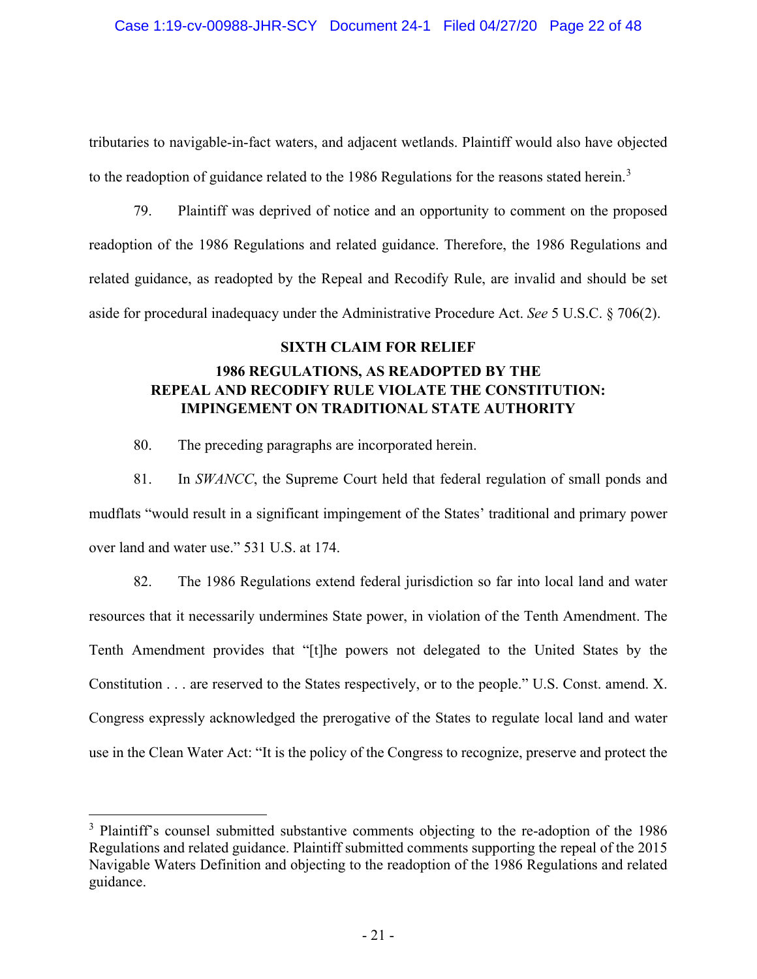tributaries to navigable-in-fact waters, and adjacent wetlands. Plaintiff would also have objected to the readoption of guidance related to the 1986 Regulations for the reasons stated herein.<sup>[3](#page-20-0)</sup>

79. Plaintiff was deprived of notice and an opportunity to comment on the proposed readoption of the 1986 Regulations and related guidance. Therefore, the 1986 Regulations and related guidance, as readopted by the Repeal and Recodify Rule, are invalid and should be set aside for procedural inadequacy under the Administrative Procedure Act. *See* 5 U.S.C. § 706(2).

### **SIXTH CLAIM FOR RELIEF**

# **1986 REGULATIONS, AS READOPTED BY THE REPEAL AND RECODIFY RULE VIOLATE THE CONSTITUTION: IMPINGEMENT ON TRADITIONAL STATE AUTHORITY**

80. The preceding paragraphs are incorporated herein.

81. In *SWANCC*, the Supreme Court held that federal regulation of small ponds and mudflats "would result in a significant impingement of the States' traditional and primary power over land and water use." 531 U.S. at 174.

82. The 1986 Regulations extend federal jurisdiction so far into local land and water resources that it necessarily undermines State power, in violation of the Tenth Amendment. The Tenth Amendment provides that "[t]he powers not delegated to the United States by the Constitution . . . are reserved to the States respectively, or to the people." U.S. Const. amend. X. Congress expressly acknowledged the prerogative of the States to regulate local land and water use in the Clean Water Act: "It is the policy of the Congress to recognize, preserve and protect the

<span id="page-20-0"></span><sup>&</sup>lt;sup>3</sup> Plaintiff's counsel submitted substantive comments objecting to the re-adoption of the 1986 Regulations and related guidance. Plaintiff submitted comments supporting the repeal of the 2015 Navigable Waters Definition and objecting to the readoption of the 1986 Regulations and related guidance.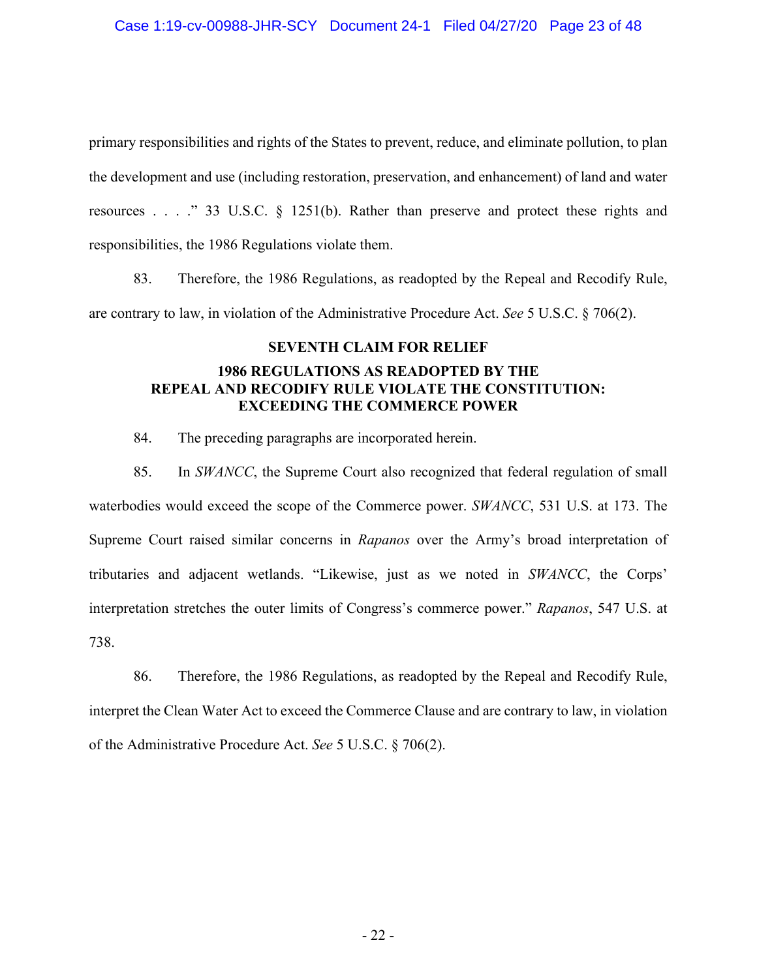### Case 1:19-cv-00988-JHR-SCY Document 24-1 Filed 04/27/20 Page 23 of 48

primary responsibilities and rights of the States to prevent, reduce, and eliminate pollution, to plan the development and use (including restoration, preservation, and enhancement) of land and water resources . . . ." 33 U.S.C. § 1251(b). Rather than preserve and protect these rights and responsibilities, the 1986 Regulations violate them.

83. Therefore, the 1986 Regulations, as readopted by the Repeal and Recodify Rule, are contrary to law, in violation of the Administrative Procedure Act. *See* 5 U.S.C. § 706(2).

### **SEVENTH CLAIM FOR RELIEF**

## **1986 REGULATIONS AS READOPTED BY THE REPEAL AND RECODIFY RULE VIOLATE THE CONSTITUTION: EXCEEDING THE COMMERCE POWER**

84. The preceding paragraphs are incorporated herein.

85. In *SWANCC*, the Supreme Court also recognized that federal regulation of small waterbodies would exceed the scope of the Commerce power. *SWANCC*, 531 U.S. at 173. The Supreme Court raised similar concerns in *Rapanos* over the Army's broad interpretation of tributaries and adjacent wetlands. "Likewise, just as we noted in *SWANCC*, the Corps' interpretation stretches the outer limits of Congress's commerce power." *Rapanos*, 547 U.S. at 738.

86. Therefore, the 1986 Regulations, as readopted by the Repeal and Recodify Rule, interpret the Clean Water Act to exceed the Commerce Clause and are contrary to law, in violation of the Administrative Procedure Act. *See* 5 U.S.C. § 706(2).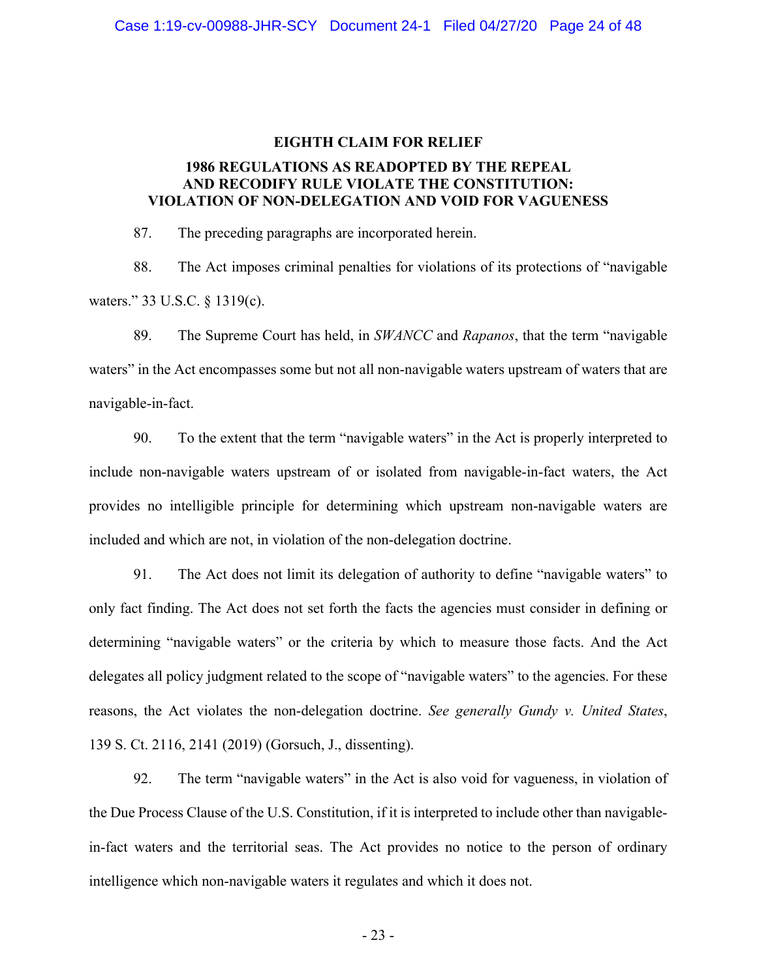# **EIGHTH CLAIM FOR RELIEF 1986 REGULATIONS AS READOPTED BY THE REPEAL AND RECODIFY RULE VIOLATE THE CONSTITUTION:**

**VIOLATION OF NON-DELEGATION AND VOID FOR VAGUENESS**

87. The preceding paragraphs are incorporated herein.

88. The Act imposes criminal penalties for violations of its protections of "navigable waters." 33 U.S.C. § 1319(c).

89. The Supreme Court has held, in *SWANCC* and *Rapanos*, that the term "navigable waters" in the Act encompasses some but not all non-navigable waters upstream of waters that are navigable-in-fact.

90. To the extent that the term "navigable waters" in the Act is properly interpreted to include non-navigable waters upstream of or isolated from navigable-in-fact waters, the Act provides no intelligible principle for determining which upstream non-navigable waters are included and which are not, in violation of the non-delegation doctrine.

91. The Act does not limit its delegation of authority to define "navigable waters" to only fact finding. The Act does not set forth the facts the agencies must consider in defining or determining "navigable waters" or the criteria by which to measure those facts. And the Act delegates all policy judgment related to the scope of "navigable waters" to the agencies. For these reasons, the Act violates the non-delegation doctrine. *See generally Gundy v. United States*, 139 S. Ct. 2116, 2141 (2019) (Gorsuch, J., dissenting).

92. The term "navigable waters" in the Act is also void for vagueness, in violation of the Due Process Clause of the U.S. Constitution, if it is interpreted to include other than navigablein-fact waters and the territorial seas. The Act provides no notice to the person of ordinary intelligence which non-navigable waters it regulates and which it does not.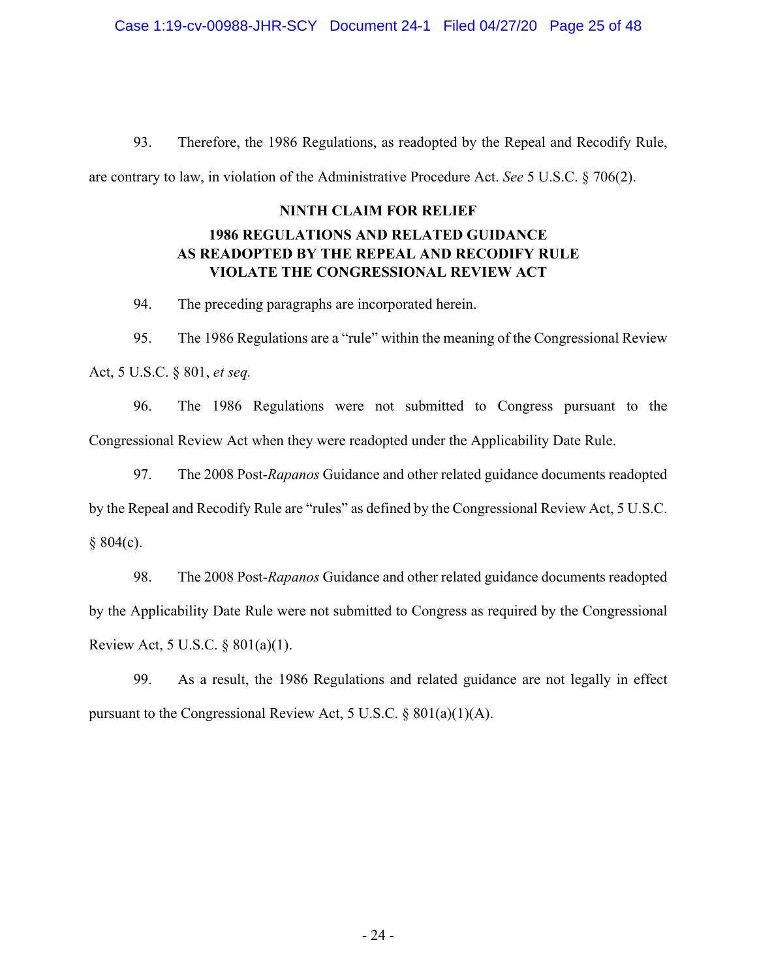93. Therefore, the 1986 Regulations, as readopted by the Repeal and Recodify Rule, are contrary to law, in violation of the Administrative Procedure Act. *See* 5 U.S.C. § 706(2).

### **NINTH CLAIM FOR RELIEF**

## **1986 REGULATIONS AND RELATED GUIDANCE AS READOPTED BY THE REPEAL AND RECODIFY RULE VIOLATE THE CONGRESSIONAL REVIEW ACT**

94. The preceding paragraphs are incorporated herein.

95. The 1986 Regulations are a "rule" within the meaning of the Congressional Review Act, 5 U.S.C. § 801, *et seq.*

96. The 1986 Regulations were not submitted to Congress pursuant to the Congressional Review Act when they were readopted under the Applicability Date Rule.

97. The 2008 Post-*Rapanos* Guidance and other related guidance documents readopted by the Repeal and Recodify Rule are "rules" as defined by the Congressional Review Act, 5 U.S.C.  $§ 804(c).$ 

98. The 2008 Post-*Rapanos* Guidance and other related guidance documents readopted by the Applicability Date Rule were not submitted to Congress as required by the Congressional Review Act, 5 U.S.C. § 801(a)(1).

99. As a result, the 1986 Regulations and related guidance are not legally in effect pursuant to the Congressional Review Act, 5 U.S.C. § 801(a)(1)(A).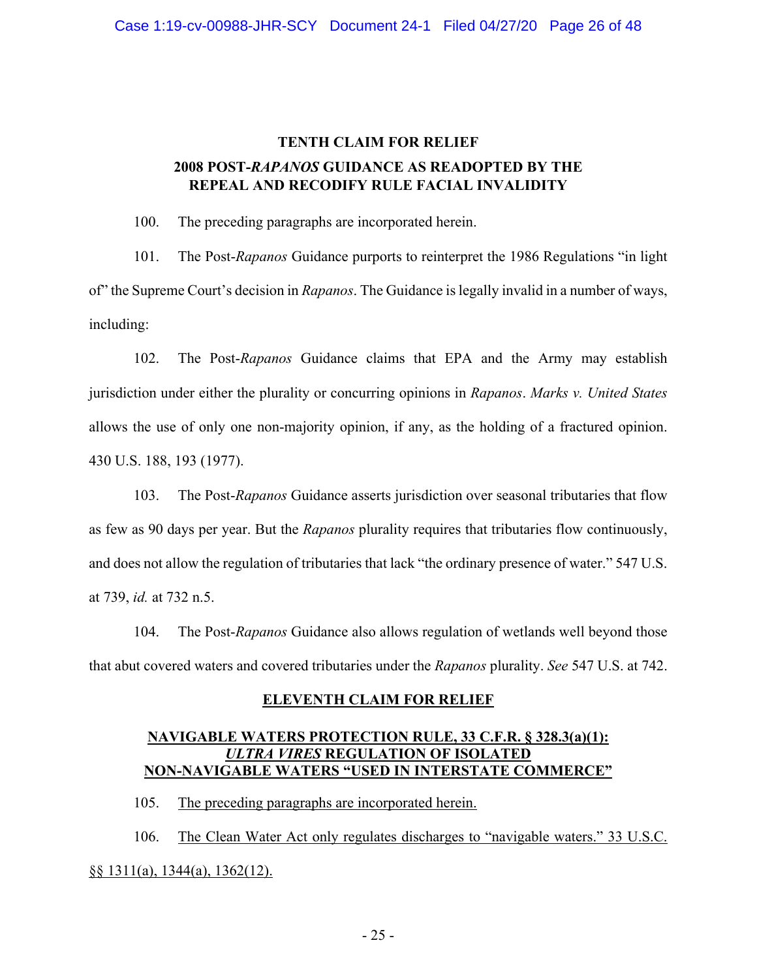# **TENTH CLAIM FOR RELIEF 2008 POST-***RAPANOS* **GUIDANCE AS READOPTED BY THE REPEAL AND RECODIFY RULE FACIAL INVALIDITY**

100. The preceding paragraphs are incorporated herein.

101. The Post-*Rapanos* Guidance purports to reinterpret the 1986 Regulations "in light of" the Supreme Court's decision in *Rapanos*. The Guidance is legally invalid in a number of ways, including:

102. The Post-*Rapanos* Guidance claims that EPA and the Army may establish jurisdiction under either the plurality or concurring opinions in *Rapanos*. *Marks v. United States* allows the use of only one non-majority opinion, if any, as the holding of a fractured opinion. 430 U.S. 188, 193 (1977).

103. The Post-*Rapanos* Guidance asserts jurisdiction over seasonal tributaries that flow as few as 90 days per year. But the *Rapanos* plurality requires that tributaries flow continuously, and does not allow the regulation of tributaries that lack "the ordinary presence of water." 547 U.S. at 739, *id.* at 732 n.5.

104. The Post-*Rapanos* Guidance also allows regulation of wetlands well beyond those that abut covered waters and covered tributaries under the *Rapanos* plurality. *See* 547 U.S. at 742.

## **ELEVENTH CLAIM FOR RELIEF**

### **NAVIGABLE WATERS PROTECTION RULE, 33 C.F.R. § 328.3(a)(1):** *ULTRA VIRES* **REGULATION OF ISOLATED NON-NAVIGABLE WATERS "USED IN INTERSTATE COMMERCE"**

105. The preceding paragraphs are incorporated herein.

106. The Clean Water Act only regulates discharges to "navigable waters." 33 U.S.C. §§ 1311(a), 1344(a), 1362(12).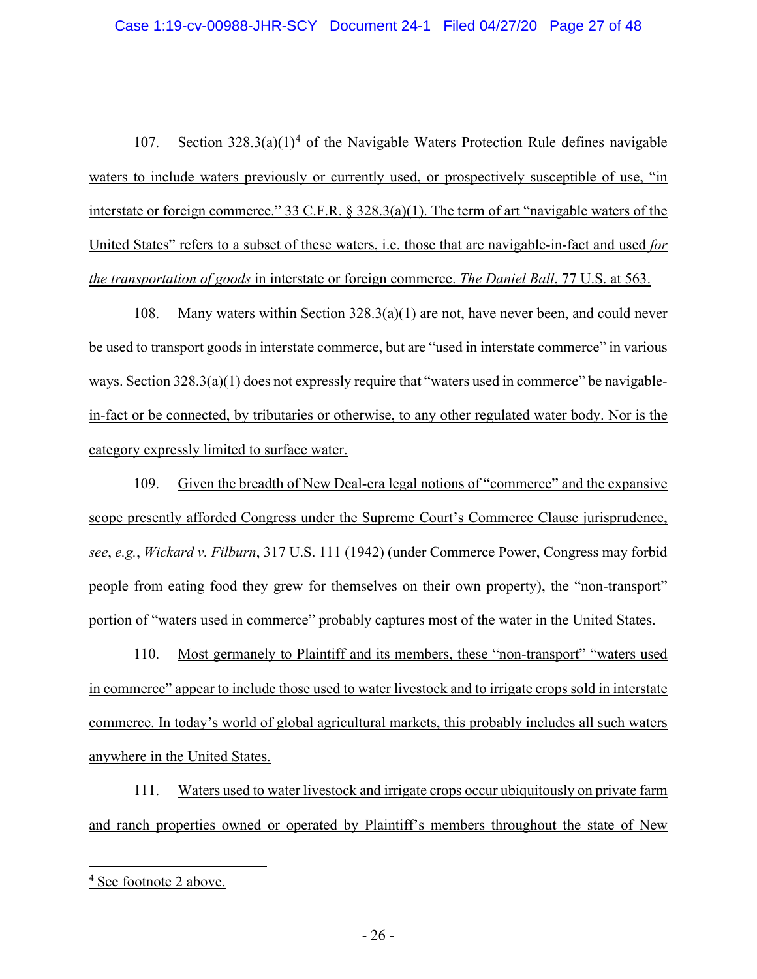107. Section  $328.3(a)(1)^4$  $328.3(a)(1)^4$  of the Navigable Waters Protection Rule defines navigable waters to include waters previously or currently used, or prospectively susceptible of use, "in interstate or foreign commerce." 33 C.F.R. § 328.3(a)(1). The term of art "navigable waters of the United States" refers to a subset of these waters, i.e. those that are navigable-in-fact and used *for the transportation of goods* in interstate or foreign commerce. *The Daniel Ball*, 77 U.S. at 563.

108. Many waters within Section 328.3(a)(1) are not, have never been, and could never be used to transport goods in interstate commerce, but are "used in interstate commerce" in various ways. Section 328.3(a)(1) does not expressly require that "waters used in commerce" be navigablein-fact or be connected, by tributaries or otherwise, to any other regulated water body. Nor is the category expressly limited to surface water.

109. Given the breadth of New Deal-era legal notions of "commerce" and the expansive scope presently afforded Congress under the Supreme Court's Commerce Clause jurisprudence, *see*, *e.g.*, *Wickard v. Filburn*, 317 U.S. 111 (1942) (under Commerce Power, Congress may forbid people from eating food they grew for themselves on their own property), the "non-transport" portion of "waters used in commerce" probably captures most of the water in the United States.

110. Most germanely to Plaintiff and its members, these "non-transport" "waters used in commerce" appear to include those used to water livestock and to irrigate crops sold in interstate commerce. In today's world of global agricultural markets, this probably includes all such waters anywhere in the United States.

111. Waters used to water livestock and irrigate crops occur ubiquitously on private farm and ranch properties owned or operated by Plaintiff's members throughout the state of New

<span id="page-25-0"></span><sup>4</sup> See footnote 2 above.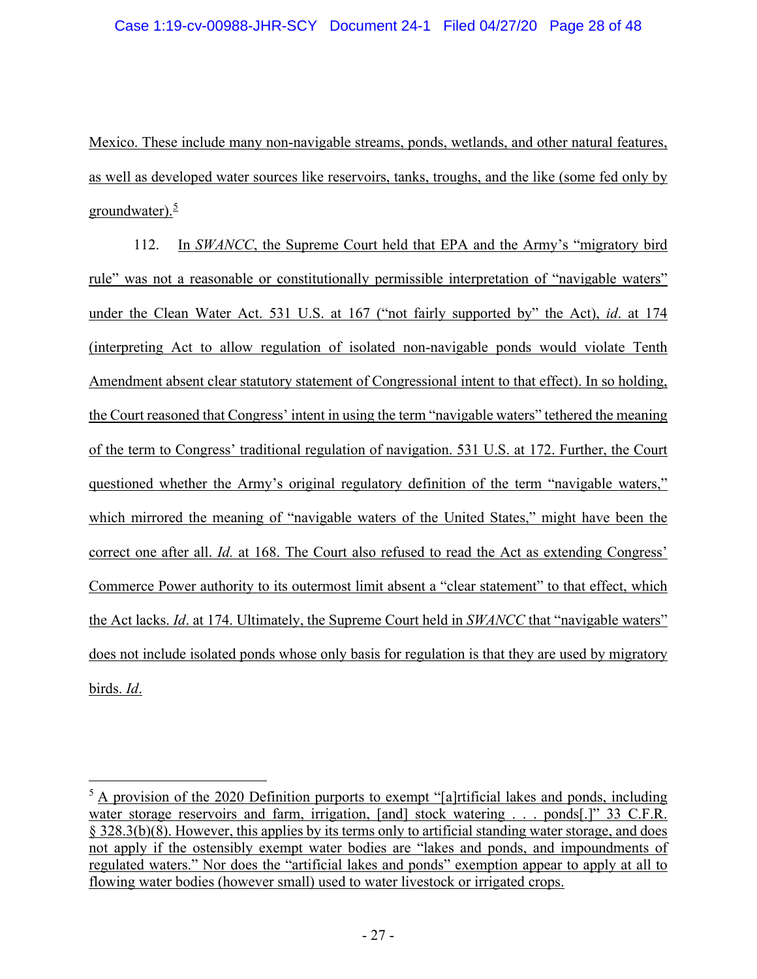Mexico. These include many non-navigable streams, ponds, wetlands, and other natural features, as well as developed water sources like reservoirs, tanks, troughs, and the like (some fed only by groundwater). $\frac{5}{5}$  $\frac{5}{5}$  $\frac{5}{5}$ 

112. In *SWANCC*, the Supreme Court held that EPA and the Army's "migratory bird rule" was not a reasonable or constitutionally permissible interpretation of "navigable waters" under the Clean Water Act. 531 U.S. at 167 ("not fairly supported by" the Act), *id*. at 174 (interpreting Act to allow regulation of isolated non-navigable ponds would violate Tenth Amendment absent clear statutory statement of Congressional intent to that effect). In so holding, the Court reasoned that Congress' intent in using the term "navigable waters" tethered the meaning of the term to Congress' traditional regulation of navigation. 531 U.S. at 172. Further, the Court questioned whether the Army's original regulatory definition of the term "navigable waters," which mirrored the meaning of "navigable waters of the United States," might have been the correct one after all. *Id.* at 168. The Court also refused to read the Act as extending Congress' Commerce Power authority to its outermost limit absent a "clear statement" to that effect, which the Act lacks. *Id*. at 174. Ultimately, the Supreme Court held in *SWANCC* that "navigable waters" does not include isolated ponds whose only basis for regulation is that they are used by migratory birds. *Id*.

<span id="page-26-0"></span><sup>&</sup>lt;sup>5</sup> A provision of the 2020 Definition purports to exempt "[a]rtificial lakes and ponds, including water storage reservoirs and farm, irrigation, [and] stock watering . . . ponds[.]" 33 C.F.R. § 328.3(b)(8). However, this applies by its terms only to artificial standing water storage, and does not apply if the ostensibly exempt water bodies are "lakes and ponds, and impoundments of regulated waters." Nor does the "artificial lakes and ponds" exemption appear to apply at all to flowing water bodies (however small) used to water livestock or irrigated crops.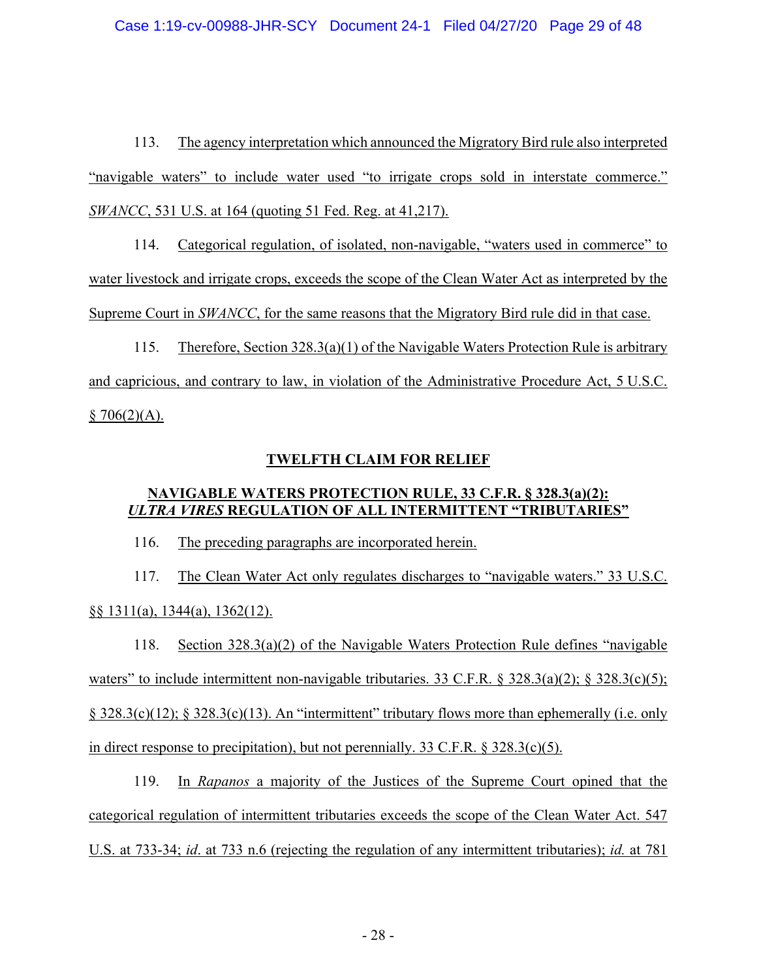113. The agency interpretation which announced the Migratory Bird rule also interpreted "navigable waters" to include water used "to irrigate crops sold in interstate commerce." *SWANCC*, 531 U.S. at 164 (quoting 51 Fed. Reg. at 41,217).

114. Categorical regulation, of isolated, non-navigable, "waters used in commerce" to water livestock and irrigate crops, exceeds the scope of the Clean Water Act as interpreted by the Supreme Court in *SWANCC*, for the same reasons that the Migratory Bird rule did in that case.

115. Therefore, Section 328.3(a)(1) of the Navigable Waters Protection Rule is arbitrary and capricious, and contrary to law, in violation of the Administrative Procedure Act, 5 U.S.C.  $$706(2)(A).$ 

## **TWELFTH CLAIM FOR RELIEF**

## **NAVIGABLE WATERS PROTECTION RULE, 33 C.F.R. § 328.3(a)(2):** *ULTRA VIRES* **REGULATION OF ALL INTERMITTENT "TRIBUTARIES"**

116. The preceding paragraphs are incorporated herein.

117. The Clean Water Act only regulates discharges to "navigable waters." 33 U.S.C. §§ 1311(a), 1344(a), 1362(12).

118. Section 328.3(a)(2) of the Navigable Waters Protection Rule defines "navigable waters" to include intermittent non-navigable tributaries. 33 C.F.R. § 328.3(a)(2); § 328.3(c)(5); § 328.3(c)(12); § 328.3(c)(13). An "intermittent" tributary flows more than ephemerally (i.e. only in direct response to precipitation), but not perennially. 33 C.F.R. § 328.3(c)(5).

119. In *Rapanos* a majority of the Justices of the Supreme Court opined that the categorical regulation of intermittent tributaries exceeds the scope of the Clean Water Act. 547 U.S. at 733-34; *id*. at 733 n.6 (rejecting the regulation of any intermittent tributaries); *id.* at 781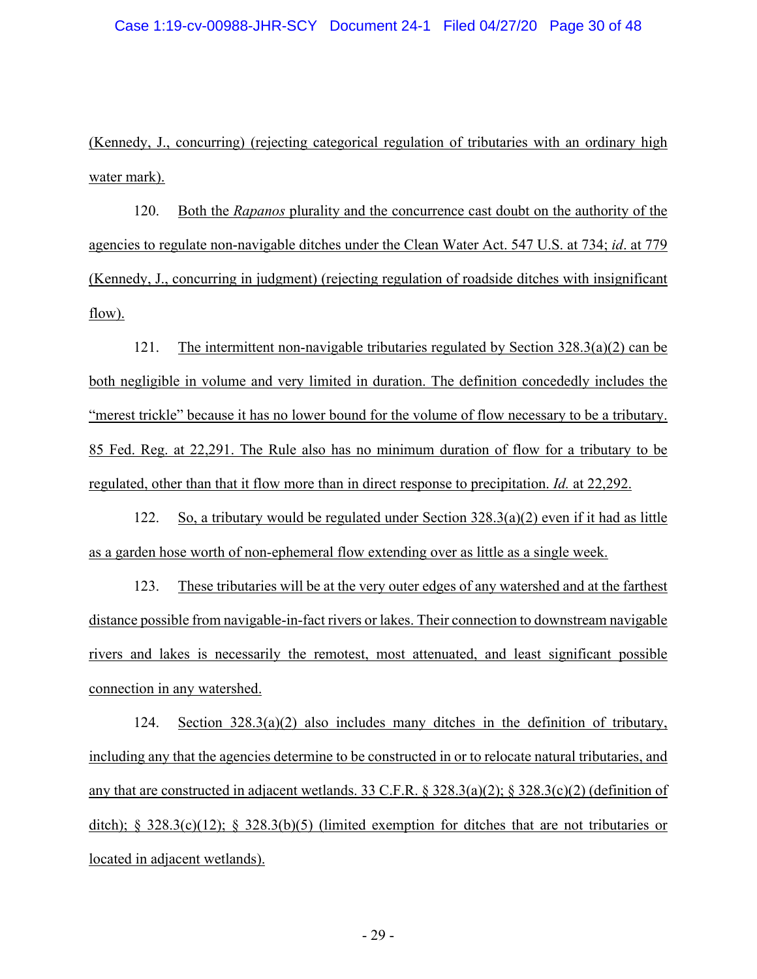(Kennedy, J., concurring) (rejecting categorical regulation of tributaries with an ordinary high water mark).

120. Both the *Rapanos* plurality and the concurrence cast doubt on the authority of the agencies to regulate non-navigable ditches under the Clean Water Act. 547 U.S. at 734; *id*. at 779 (Kennedy, J., concurring in judgment) (rejecting regulation of roadside ditches with insignificant flow).

121. The intermittent non-navigable tributaries regulated by Section 328.3(a)(2) can be both negligible in volume and very limited in duration. The definition concededly includes the "merest trickle" because it has no lower bound for the volume of flow necessary to be a tributary. 85 Fed. Reg. at 22,291. The Rule also has no minimum duration of flow for a tributary to be regulated, other than that it flow more than in direct response to precipitation. *Id.* at 22,292.

122. So, a tributary would be regulated under Section 328.3(a)(2) even if it had as little as a garden hose worth of non-ephemeral flow extending over as little as a single week.

123. These tributaries will be at the very outer edges of any watershed and at the farthest distance possible from navigable-in-fact rivers or lakes. Their connection to downstream navigable rivers and lakes is necessarily the remotest, most attenuated, and least significant possible connection in any watershed.

124. Section 328.3(a)(2) also includes many ditches in the definition of tributary, including any that the agencies determine to be constructed in or to relocate natural tributaries, and any that are constructed in adjacent wetlands. 33 C.F.R. § 328.3(a)(2); § 328.3(c)(2) (definition of ditch);  $\S 328.3(c)(12)$ ;  $\S 328.3(b)(5)$  (limited exemption for ditches that are not tributaries or located in adjacent wetlands).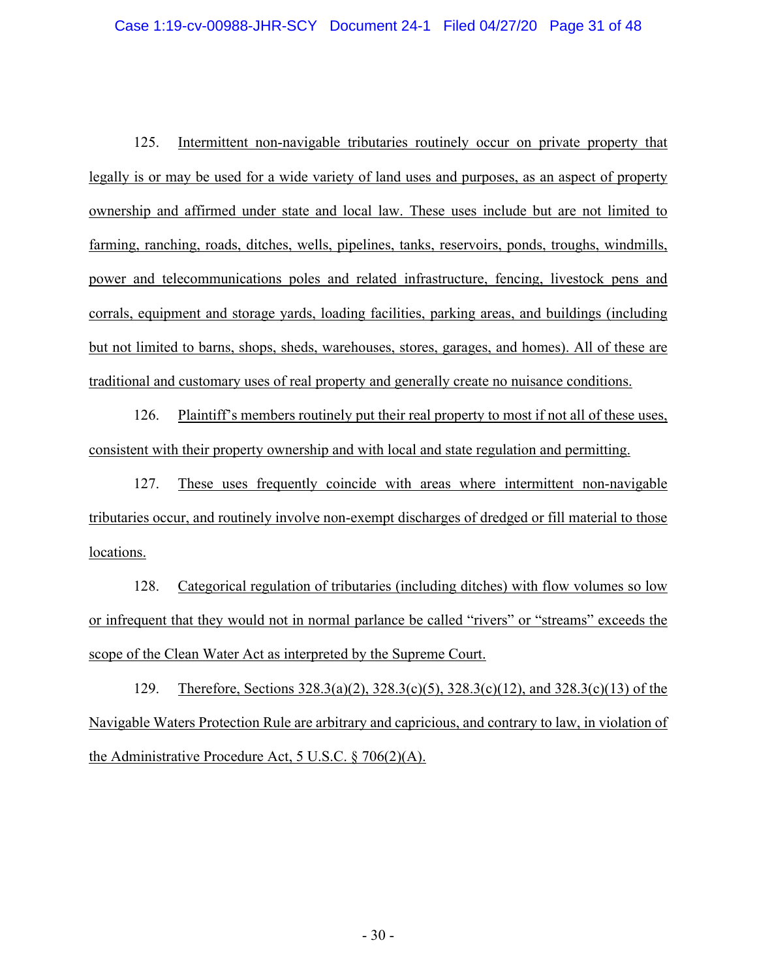125. Intermittent non-navigable tributaries routinely occur on private property that legally is or may be used for a wide variety of land uses and purposes, as an aspect of property ownership and affirmed under state and local law. These uses include but are not limited to farming, ranching, roads, ditches, wells, pipelines, tanks, reservoirs, ponds, troughs, windmills, power and telecommunications poles and related infrastructure, fencing, livestock pens and corrals, equipment and storage yards, loading facilities, parking areas, and buildings (including but not limited to barns, shops, sheds, warehouses, stores, garages, and homes). All of these are traditional and customary uses of real property and generally create no nuisance conditions.

126. Plaintiff's members routinely put their real property to most if not all of these uses, consistent with their property ownership and with local and state regulation and permitting.

127. These uses frequently coincide with areas where intermittent non-navigable tributaries occur, and routinely involve non-exempt discharges of dredged or fill material to those locations.

128. Categorical regulation of tributaries (including ditches) with flow volumes so low or infrequent that they would not in normal parlance be called "rivers" or "streams" exceeds the scope of the Clean Water Act as interpreted by the Supreme Court.

129. Therefore, Sections 328.3(a)(2), 328.3(c)(5), 328.3(c)(12), and 328.3(c)(13) of the Navigable Waters Protection Rule are arbitrary and capricious, and contrary to law, in violation of the Administrative Procedure Act, 5 U.S.C. § 706(2)(A).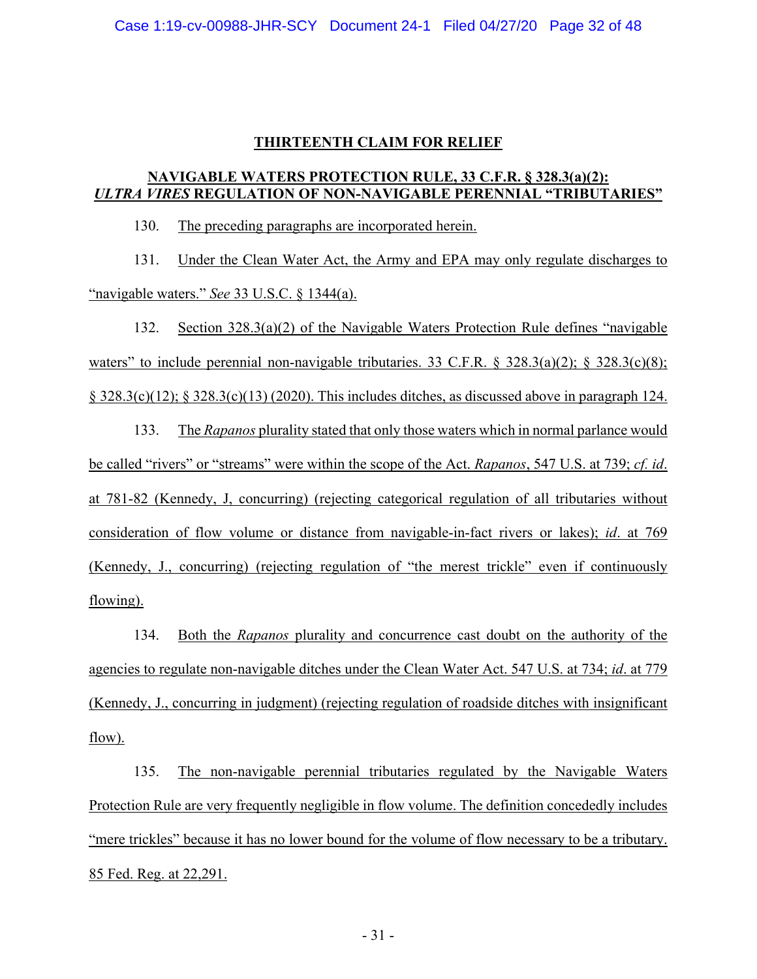### **THIRTEENTH CLAIM FOR RELIEF**

## **NAVIGABLE WATERS PROTECTION RULE, 33 C.F.R. § 328.3(a)(2):** *ULTRA VIRES* **REGULATION OF NON-NAVIGABLE PERENNIAL "TRIBUTARIES"**

130. The preceding paragraphs are incorporated herein.

131. Under the Clean Water Act, the Army and EPA may only regulate discharges to "navigable waters." *See* 33 U.S.C. § 1344(a).

132. Section 328.3(a)(2) of the Navigable Waters Protection Rule defines "navigable waters" to include perennial non-navigable tributaries. 33 C.F.R.  $\S$  328.3(a)(2);  $\S$  328.3(c)(8);  $\S$  328.3(c)(12);  $\S$  328.3(c)(13) (2020). This includes ditches, as discussed above in paragraph 124.

133. The *Rapanos* plurality stated that only those waters which in normal parlance would be called "rivers" or "streams" were within the scope of the Act. *Rapanos*, 547 U.S. at 739; *cf. id*. at 781-82 (Kennedy, J, concurring) (rejecting categorical regulation of all tributaries without consideration of flow volume or distance from navigable-in-fact rivers or lakes); *id*. at 769 (Kennedy, J., concurring) (rejecting regulation of "the merest trickle" even if continuously flowing).

134. Both the *Rapanos* plurality and concurrence cast doubt on the authority of the agencies to regulate non-navigable ditches under the Clean Water Act. 547 U.S. at 734; *id*. at 779 (Kennedy, J., concurring in judgment) (rejecting regulation of roadside ditches with insignificant flow).

135. The non-navigable perennial tributaries regulated by the Navigable Waters Protection Rule are very frequently negligible in flow volume. The definition concededly includes "mere trickles" because it has no lower bound for the volume of flow necessary to be a tributary. 85 Fed. Reg. at 22,291.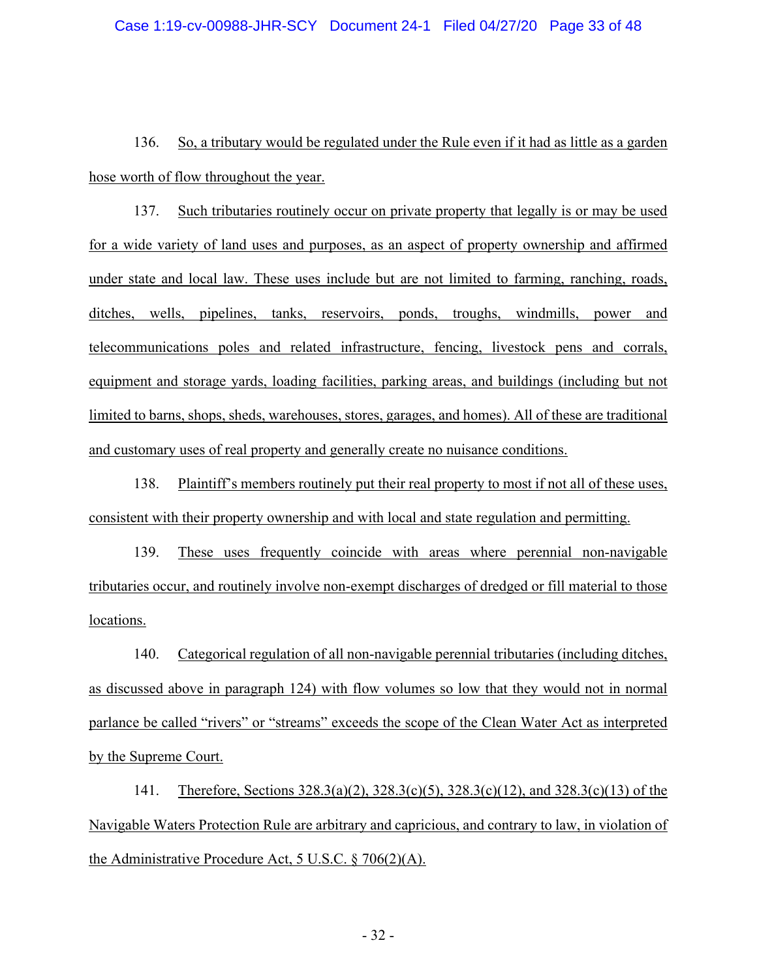136. So, a tributary would be regulated under the Rule even if it had as little as a garden hose worth of flow throughout the year.

137. Such tributaries routinely occur on private property that legally is or may be used for a wide variety of land uses and purposes, as an aspect of property ownership and affirmed under state and local law. These uses include but are not limited to farming, ranching, roads, ditches, wells, pipelines, tanks, reservoirs, ponds, troughs, windmills, power and telecommunications poles and related infrastructure, fencing, livestock pens and corrals, equipment and storage yards, loading facilities, parking areas, and buildings (including but not limited to barns, shops, sheds, warehouses, stores, garages, and homes). All of these are traditional and customary uses of real property and generally create no nuisance conditions.

138. Plaintiff's members routinely put their real property to most if not all of these uses, consistent with their property ownership and with local and state regulation and permitting.

139. These uses frequently coincide with areas where perennial non-navigable tributaries occur, and routinely involve non-exempt discharges of dredged or fill material to those locations.

140. Categorical regulation of all non-navigable perennial tributaries (including ditches, as discussed above in paragraph 124) with flow volumes so low that they would not in normal parlance be called "rivers" or "streams" exceeds the scope of the Clean Water Act as interpreted by the Supreme Court.

141. Therefore, Sections 328.3(a)(2), 328.3(c)(5), 328.3(c)(12), and 328.3(c)(13) of the Navigable Waters Protection Rule are arbitrary and capricious, and contrary to law, in violation of the Administrative Procedure Act, 5 U.S.C. § 706(2)(A).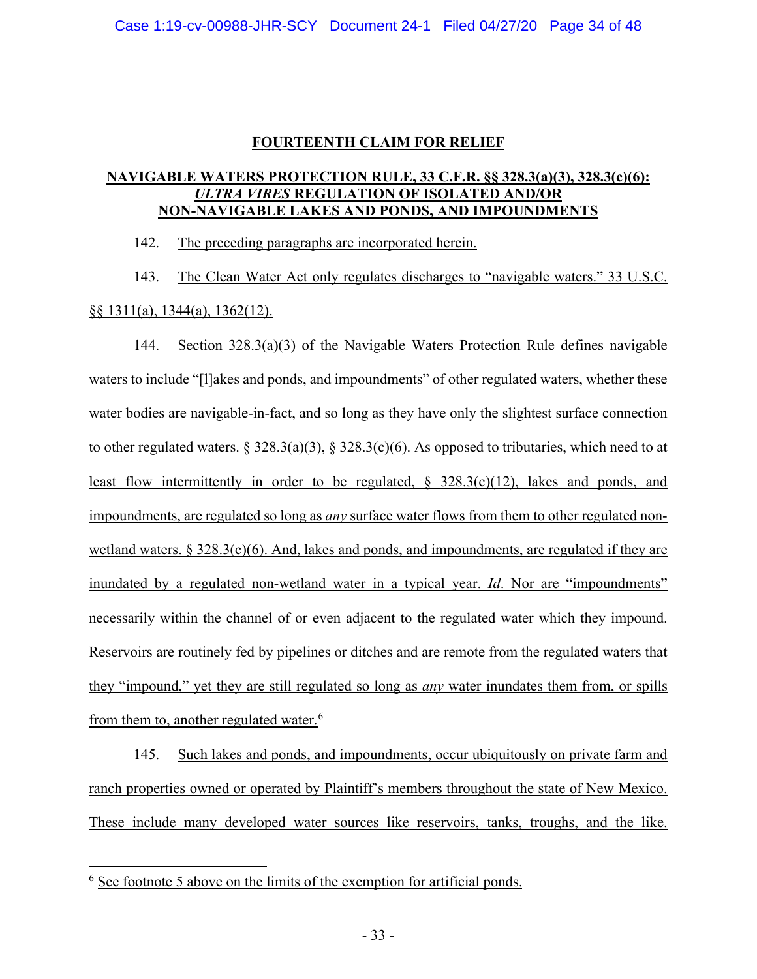## **FOURTEENTH CLAIM FOR RELIEF**

### **NAVIGABLE WATERS PROTECTION RULE, 33 C.F.R. §§ 328.3(a)(3), 328.3(c)(6):** *ULTRA VIRES* **REGULATION OF ISOLATED AND/OR NON-NAVIGABLE LAKES AND PONDS, AND IMPOUNDMENTS**

142. The preceding paragraphs are incorporated herein.

143. The Clean Water Act only regulates discharges to "navigable waters." 33 U.S.C. §§ 1311(a), 1344(a), 1362(12).

144. Section 328.3(a)(3) of the Navigable Waters Protection Rule defines navigable waters to include "[l]akes and ponds, and impoundments" of other regulated waters, whether these water bodies are navigable-in-fact, and so long as they have only the slightest surface connection to other regulated waters.  $\S 328.3(a)(3)$ ,  $\S 328.3(c)(6)$ . As opposed to tributaries, which need to at least flow intermittently in order to be regulated, § 328.3(c)(12), lakes and ponds, and impoundments, are regulated so long as *any* surface water flows from them to other regulated nonwetland waters.  $\S 328.3(c)(6)$ . And, lakes and ponds, and impoundments, are regulated if they are inundated by a regulated non-wetland water in a typical year. *Id*. Nor are "impoundments" necessarily within the channel of or even adjacent to the regulated water which they impound. Reservoirs are routinely fed by pipelines or ditches and are remote from the regulated waters that they "impound," yet they are still regulated so long as *any* water inundates them from, or spills from them to, another regulated water. $6$ 

145. Such lakes and ponds, and impoundments, occur ubiquitously on private farm and ranch properties owned or operated by Plaintiff's members throughout the state of New Mexico. These include many developed water sources like reservoirs, tanks, troughs, and the like.

<span id="page-32-0"></span> $6$  See footnote 5 above on the limits of the exemption for artificial ponds.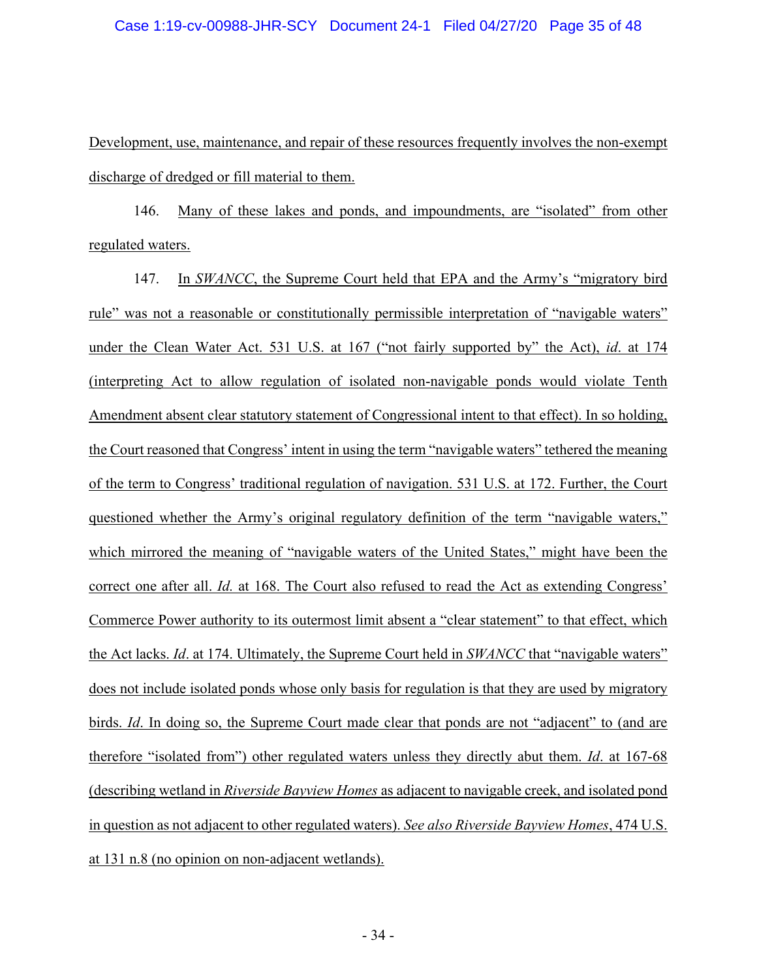Development, use, maintenance, and repair of these resources frequently involves the non-exempt discharge of dredged or fill material to them.

146. Many of these lakes and ponds, and impoundments, are "isolated" from other regulated waters.

147. In *SWANCC*, the Supreme Court held that EPA and the Army's "migratory bird rule" was not a reasonable or constitutionally permissible interpretation of "navigable waters" under the Clean Water Act. 531 U.S. at 167 ("not fairly supported by" the Act), *id*. at 174 (interpreting Act to allow regulation of isolated non-navigable ponds would violate Tenth Amendment absent clear statutory statement of Congressional intent to that effect). In so holding, the Court reasoned that Congress' intent in using the term "navigable waters" tethered the meaning of the term to Congress' traditional regulation of navigation. 531 U.S. at 172. Further, the Court questioned whether the Army's original regulatory definition of the term "navigable waters," which mirrored the meaning of "navigable waters of the United States," might have been the correct one after all. *Id.* at 168. The Court also refused to read the Act as extending Congress' Commerce Power authority to its outermost limit absent a "clear statement" to that effect, which the Act lacks. *Id*. at 174. Ultimately, the Supreme Court held in *SWANCC* that "navigable waters" does not include isolated ponds whose only basis for regulation is that they are used by migratory birds. *Id*. In doing so, the Supreme Court made clear that ponds are not "adjacent" to (and are therefore "isolated from") other regulated waters unless they directly abut them. *Id*. at 167-68 (describing wetland in *Riverside Bayview Homes* as adjacent to navigable creek, and isolated pond in question as not adjacent to other regulated waters). *See also Riverside Bayview Homes*, 474 U.S. at 131 n.8 (no opinion on non-adjacent wetlands).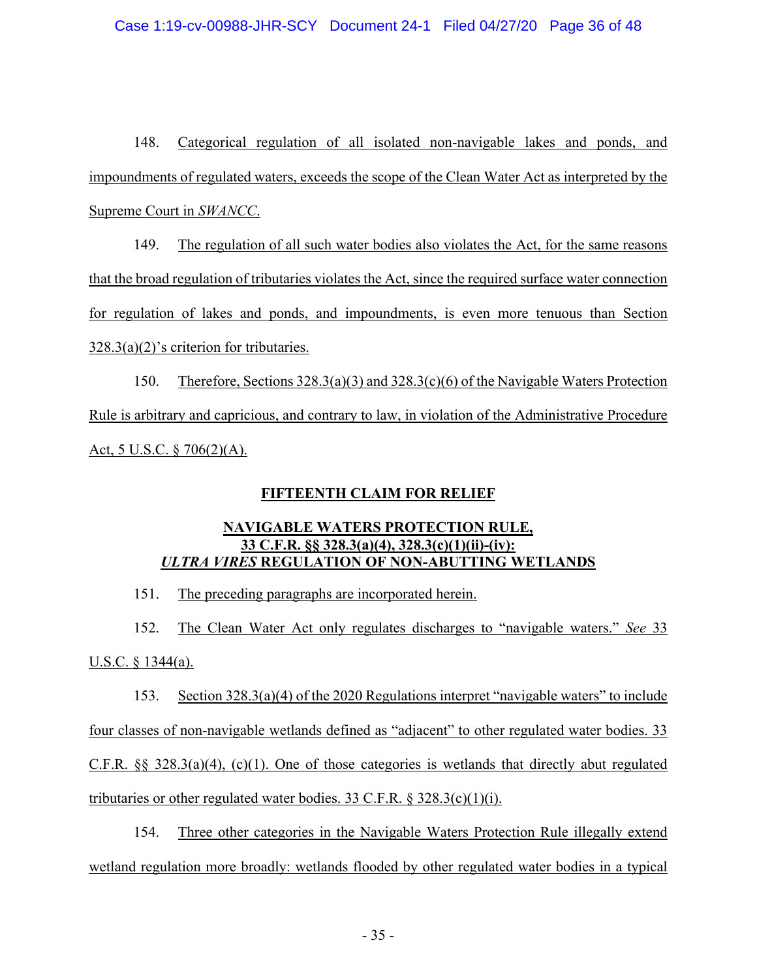### Case 1:19-cv-00988-JHR-SCY Document 24-1 Filed 04/27/20 Page 36 of 48

148. Categorical regulation of all isolated non-navigable lakes and ponds, and impoundments of regulated waters, exceeds the scope of the Clean Water Act as interpreted by the Supreme Court in *SWANCC*.

149. The regulation of all such water bodies also violates the Act, for the same reasons that the broad regulation of tributaries violates the Act, since the required surface water connection for regulation of lakes and ponds, and impoundments, is even more tenuous than Section 328.3(a)(2)'s criterion for tributaries.

150. Therefore, Sections 328.3(a)(3) and 328.3(c)(6) of the Navigable Waters Protection Rule is arbitrary and capricious, and contrary to law, in violation of the Administrative Procedure Act, 5 U.S.C. § 706(2)(A).

## **FIFTEENTH CLAIM FOR RELIEF**

## **NAVIGABLE WATERS PROTECTION RULE, 33 C.F.R. §§ 328.3(a)(4), 328.3(c)(1)(ii)-(iv):** *ULTRA VIRES* **REGULATION OF NON-ABUTTING WETLANDS**

151. The preceding paragraphs are incorporated herein.

152. The Clean Water Act only regulates discharges to "navigable waters." *See* 33 U.S.C. § 1344(a).

153. Section 328.3(a)(4) of the 2020 Regulations interpret "navigable waters" to include four classes of non-navigable wetlands defined as "adjacent" to other regulated water bodies. 33 C.F.R. §§ 328.3(a)(4), (c)(1). One of those categories is wetlands that directly abut regulated tributaries or other regulated water bodies. 33 C.F.R.  $\S$  328.3(c)(1)(i).

154. Three other categories in the Navigable Waters Protection Rule illegally extend wetland regulation more broadly: wetlands flooded by other regulated water bodies in a typical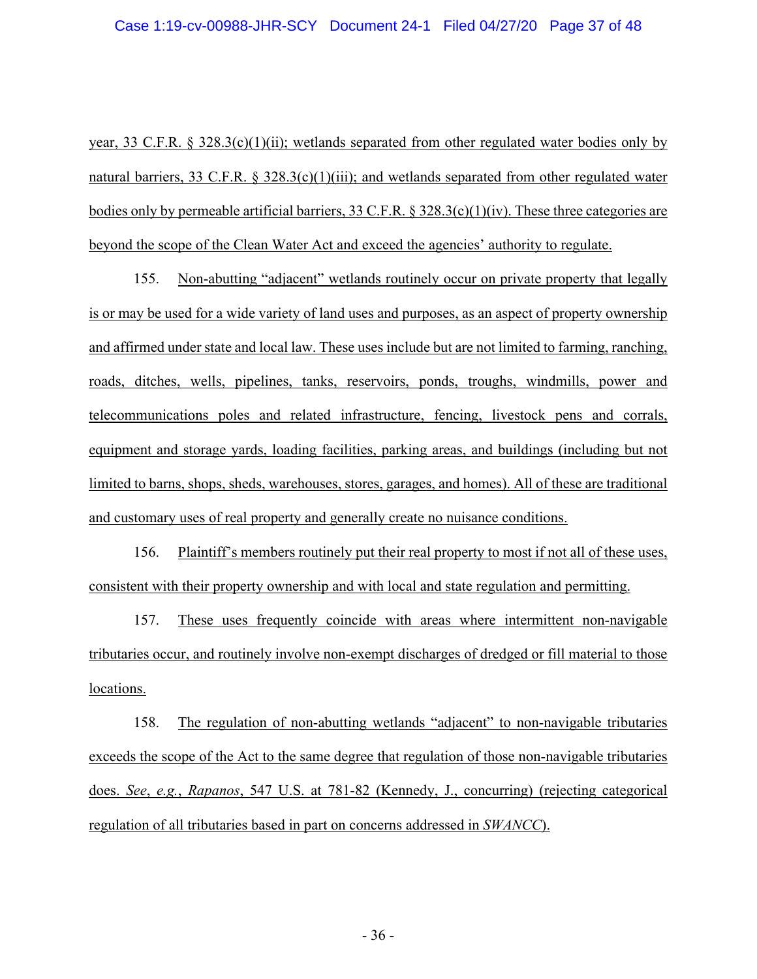year, 33 C.F.R. § 328.3(c)(1)(ii); wetlands separated from other regulated water bodies only by natural barriers, 33 C.F.R. § 328.3(c)(1)(iii); and wetlands separated from other regulated water bodies only by permeable artificial barriers, 33 C.F.R. § 328.3(c)(1)(iv). These three categories are beyond the scope of the Clean Water Act and exceed the agencies' authority to regulate.

155. Non-abutting "adjacent" wetlands routinely occur on private property that legally is or may be used for a wide variety of land uses and purposes, as an aspect of property ownership and affirmed under state and local law. These uses include but are not limited to farming, ranching, roads, ditches, wells, pipelines, tanks, reservoirs, ponds, troughs, windmills, power and telecommunications poles and related infrastructure, fencing, livestock pens and corrals, equipment and storage yards, loading facilities, parking areas, and buildings (including but not limited to barns, shops, sheds, warehouses, stores, garages, and homes). All of these are traditional and customary uses of real property and generally create no nuisance conditions.

156. Plaintiff's members routinely put their real property to most if not all of these uses, consistent with their property ownership and with local and state regulation and permitting.

157. These uses frequently coincide with areas where intermittent non-navigable tributaries occur, and routinely involve non-exempt discharges of dredged or fill material to those locations.

158. The regulation of non-abutting wetlands "adjacent" to non-navigable tributaries exceeds the scope of the Act to the same degree that regulation of those non-navigable tributaries does. *See*, *e.g.*, *Rapanos*, 547 U.S. at 781-82 (Kennedy, J., concurring) (rejecting categorical regulation of all tributaries based in part on concerns addressed in *SWANCC*).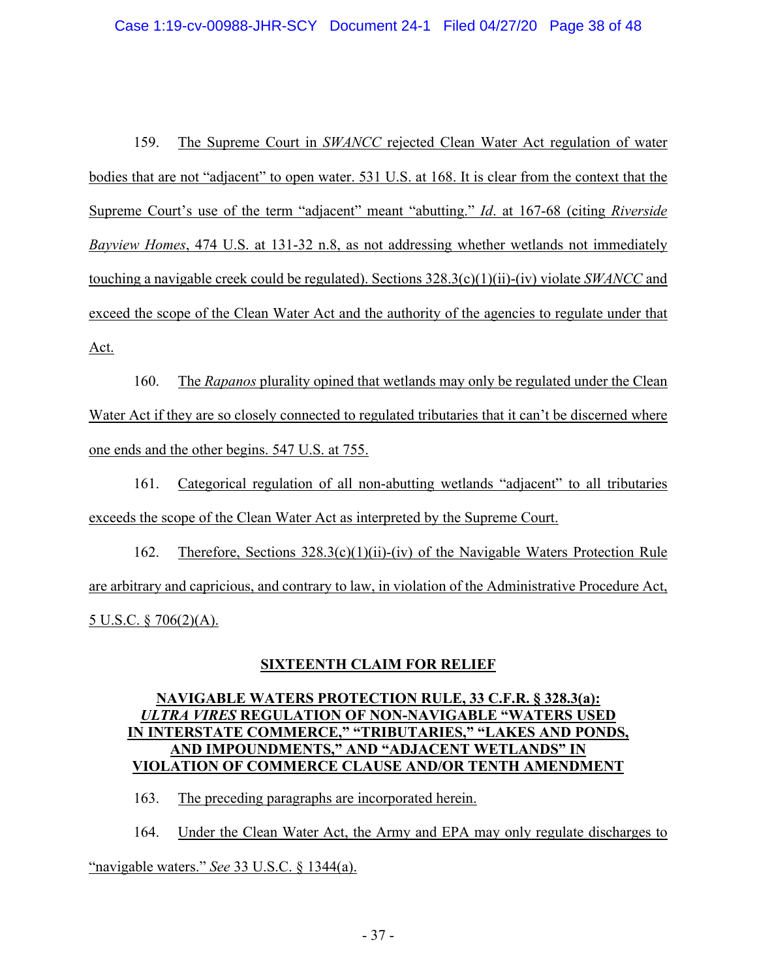159. The Supreme Court in *SWANCC* rejected Clean Water Act regulation of water bodies that are not "adjacent" to open water. 531 U.S. at 168. It is clear from the context that the Supreme Court's use of the term "adjacent" meant "abutting." *Id*. at 167-68 (citing *Riverside Bayview Homes*, 474 U.S. at 131-32 n.8, as not addressing whether wetlands not immediately touching a navigable creek could be regulated). Sections 328.3(c)(1)(ii)-(iv) violate *SWANCC* and exceed the scope of the Clean Water Act and the authority of the agencies to regulate under that Act.

160. The *Rapanos* plurality opined that wetlands may only be regulated under the Clean Water Act if they are so closely connected to regulated tributaries that it can't be discerned where one ends and the other begins. 547 U.S. at 755.

161. Categorical regulation of all non-abutting wetlands "adjacent" to all tributaries exceeds the scope of the Clean Water Act as interpreted by the Supreme Court.

162. Therefore, Sections 328.3(c)(1)(ii)-(iv) of the Navigable Waters Protection Rule are arbitrary and capricious, and contrary to law, in violation of the Administrative Procedure Act, 5 U.S.C. § 706(2)(A).

## **SIXTEENTH CLAIM FOR RELIEF**

## **NAVIGABLE WATERS PROTECTION RULE, 33 C.F.R. § 328.3(a):** *ULTRA VIRES* **REGULATION OF NON-NAVIGABLE "WATERS USED IN INTERSTATE COMMERCE," "TRIBUTARIES," "LAKES AND PONDS, AND IMPOUNDMENTS," AND "ADJACENT WETLANDS" IN VIOLATION OF COMMERCE CLAUSE AND/OR TENTH AMENDMENT**

163. The preceding paragraphs are incorporated herein.

164. Under the Clean Water Act, the Army and EPA may only regulate discharges to "navigable waters." *See* 33 U.S.C. § 1344(a).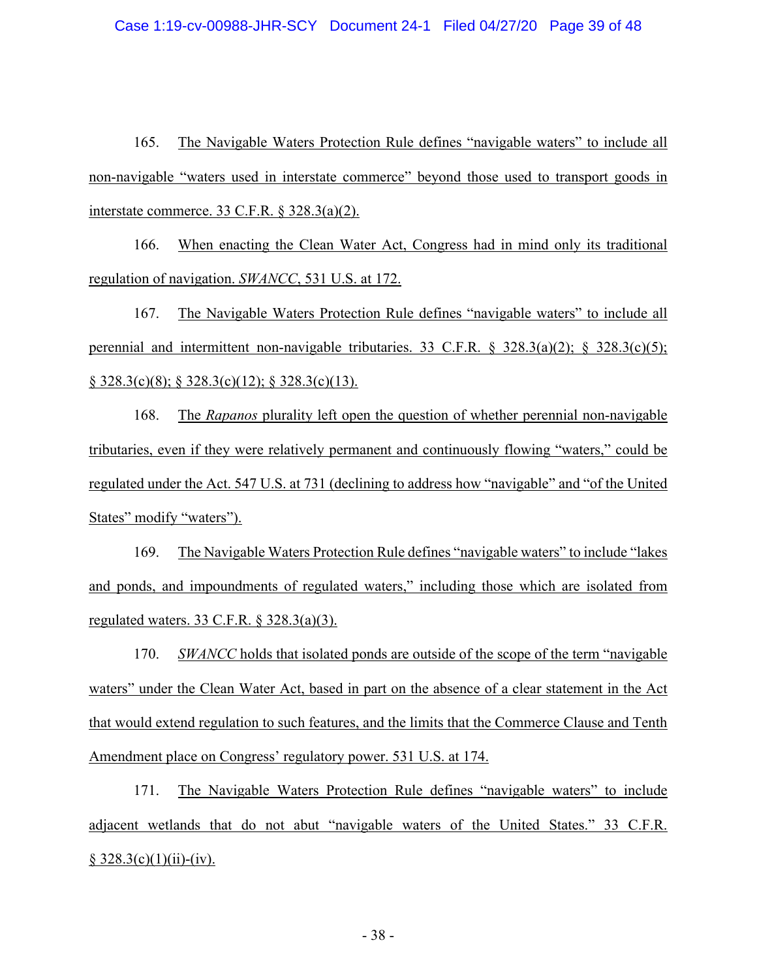165. The Navigable Waters Protection Rule defines "navigable waters" to include all non-navigable "waters used in interstate commerce" beyond those used to transport goods in interstate commerce. 33 C.F.R. § 328.3(a)(2).

166. When enacting the Clean Water Act, Congress had in mind only its traditional regulation of navigation. *SWANCC*, 531 U.S. at 172.

167. The Navigable Waters Protection Rule defines "navigable waters" to include all perennial and intermittent non-navigable tributaries. 33 C.F.R. § 328.3(a)(2); § 328.3(c)(5); § 328.3(c)(8); § 328.3(c)(12); § 328.3(c)(13).

168. The *Rapanos* plurality left open the question of whether perennial non-navigable tributaries, even if they were relatively permanent and continuously flowing "waters," could be regulated under the Act. 547 U.S. at 731 (declining to address how "navigable" and "of the United States" modify "waters").

169. The Navigable Waters Protection Rule defines "navigable waters" to include "lakes and ponds, and impoundments of regulated waters," including those which are isolated from regulated waters. 33 C.F.R. § 328.3(a)(3).

170. *SWANCC* holds that isolated ponds are outside of the scope of the term "navigable waters" under the Clean Water Act, based in part on the absence of a clear statement in the Act that would extend regulation to such features, and the limits that the Commerce Clause and Tenth Amendment place on Congress' regulatory power. 531 U.S. at 174.

171. The Navigable Waters Protection Rule defines "navigable waters" to include adjacent wetlands that do not abut "navigable waters of the United States." 33 C.F.R.  $§ 328.3(c)(1)(ii)-(iv).$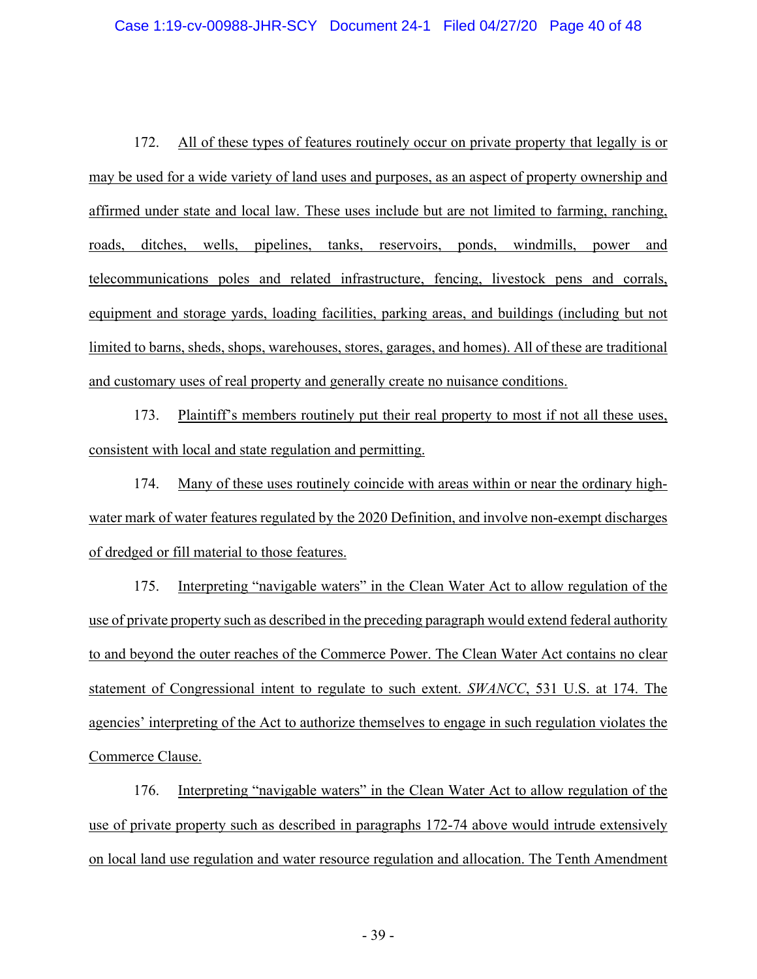172. All of these types of features routinely occur on private property that legally is or may be used for a wide variety of land uses and purposes, as an aspect of property ownership and affirmed under state and local law. These uses include but are not limited to farming, ranching, roads, ditches, wells, pipelines, tanks, reservoirs, ponds, windmills, power and telecommunications poles and related infrastructure, fencing, livestock pens and corrals, equipment and storage yards, loading facilities, parking areas, and buildings (including but not limited to barns, sheds, shops, warehouses, stores, garages, and homes). All of these are traditional and customary uses of real property and generally create no nuisance conditions.

173. Plaintiff's members routinely put their real property to most if not all these uses, consistent with local and state regulation and permitting.

174. Many of these uses routinely coincide with areas within or near the ordinary highwater mark of water features regulated by the 2020 Definition, and involve non-exempt discharges of dredged or fill material to those features.

175. Interpreting "navigable waters" in the Clean Water Act to allow regulation of the use of private property such as described in the preceding paragraph would extend federal authority to and beyond the outer reaches of the Commerce Power. The Clean Water Act contains no clear statement of Congressional intent to regulate to such extent. *SWANCC*, 531 U.S. at 174. The agencies' interpreting of the Act to authorize themselves to engage in such regulation violates the Commerce Clause.

176. Interpreting "navigable waters" in the Clean Water Act to allow regulation of the use of private property such as described in paragraphs 172-74 above would intrude extensively on local land use regulation and water resource regulation and allocation. The Tenth Amendment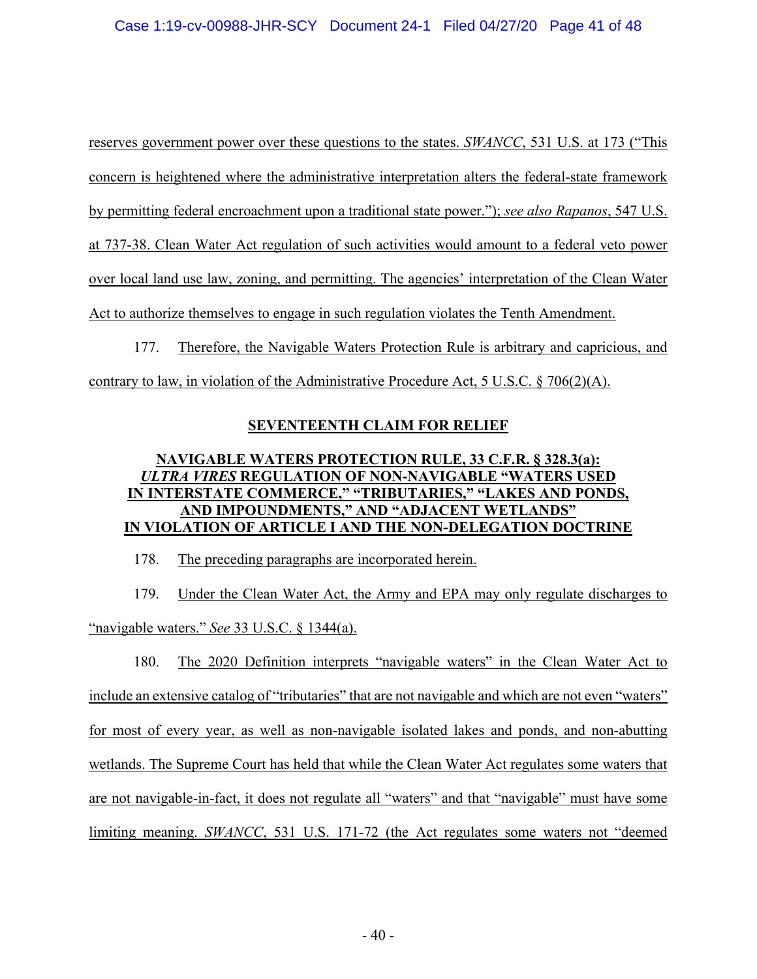### Case 1:19-cv-00988-JHR-SCY Document 24-1 Filed 04/27/20 Page 41 of 48

reserves government power over these questions to the states. *SWANCC*, 531 U.S. at 173 ("This concern is heightened where the administrative interpretation alters the federal-state framework by permitting federal encroachment upon a traditional state power."); *see also Rapanos*, 547 U.S. at 737-38. Clean Water Act regulation of such activities would amount to a federal veto power over local land use law, zoning, and permitting. The agencies' interpretation of the Clean Water Act to authorize themselves to engage in such regulation violates the Tenth Amendment.

177. Therefore, the Navigable Waters Protection Rule is arbitrary and capricious, and contrary to law, in violation of the Administrative Procedure Act, 5 U.S.C.  $\S$  706(2)(A).

### **SEVENTEENTH CLAIM FOR RELIEF**

## **NAVIGABLE WATERS PROTECTION RULE, 33 C.F.R. § 328.3(a):** *ULTRA VIRES* **REGULATION OF NON-NAVIGABLE "WATERS USED IN INTERSTATE COMMERCE," "TRIBUTARIES," "LAKES AND PONDS, AND IMPOUNDMENTS," AND "ADJACENT WETLANDS" IN VIOLATION OF ARTICLE I AND THE NON-DELEGATION DOCTRINE**

178. The preceding paragraphs are incorporated herein.

179. Under the Clean Water Act, the Army and EPA may only regulate discharges to "navigable waters." *See* 33 U.S.C. § 1344(a).

180. The 2020 Definition interprets "navigable waters" in the Clean Water Act to include an extensive catalog of "tributaries" that are not navigable and which are not even "waters" for most of every year, as well as non-navigable isolated lakes and ponds, and non-abutting wetlands. The Supreme Court has held that while the Clean Water Act regulates some waters that are not navigable-in-fact, it does not regulate all "waters" and that "navigable" must have some limiting meaning. *SWANCC*, 531 U.S. 171-72 (the Act regulates some waters not "deemed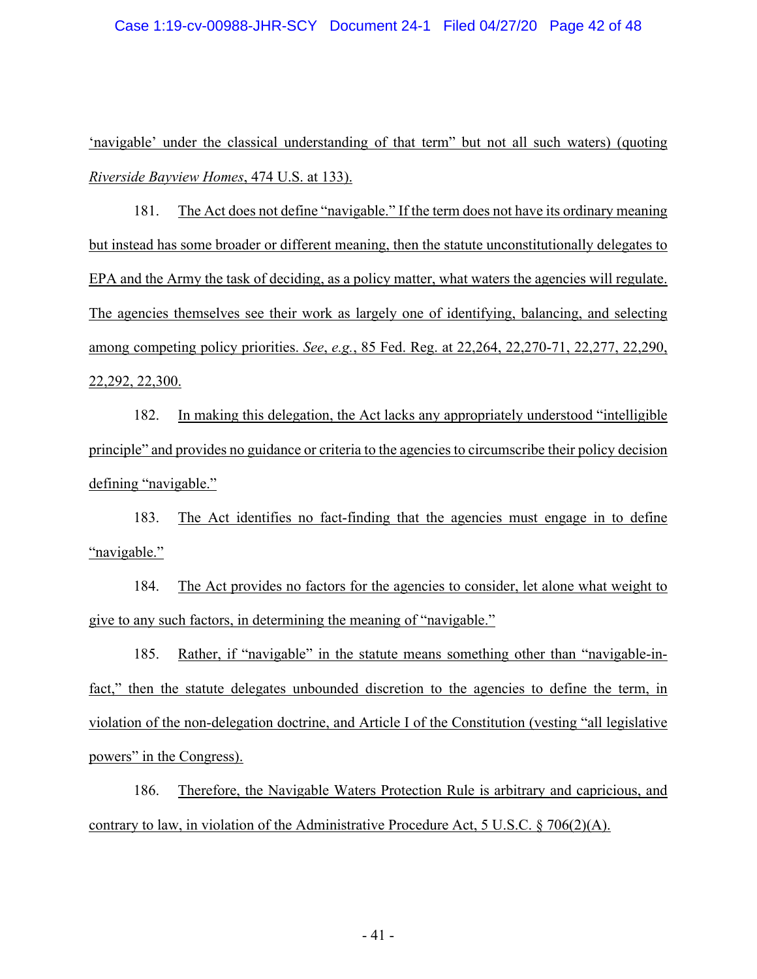#### Case 1:19-cv-00988-JHR-SCY Document 24-1 Filed 04/27/20 Page 42 of 48

'navigable' under the classical understanding of that term" but not all such waters) (quoting *Riverside Bayview Homes*, 474 U.S. at 133).

181. The Act does not define "navigable." If the term does not have its ordinary meaning but instead has some broader or different meaning, then the statute unconstitutionally delegates to EPA and the Army the task of deciding, as a policy matter, what waters the agencies will regulate. The agencies themselves see their work as largely one of identifying, balancing, and selecting among competing policy priorities. *See*, *e.g.*, 85 Fed. Reg. at 22,264, 22,270-71, 22,277, 22,290, 22,292, 22,300.

182. In making this delegation, the Act lacks any appropriately understood "intelligible principle" and provides no guidance or criteria to the agencies to circumscribe their policy decision defining "navigable."

183. The Act identifies no fact-finding that the agencies must engage in to define "navigable."

184. The Act provides no factors for the agencies to consider, let alone what weight to give to any such factors, in determining the meaning of "navigable."

185. Rather, if "navigable" in the statute means something other than "navigable-infact," then the statute delegates unbounded discretion to the agencies to define the term, in violation of the non-delegation doctrine, and Article I of the Constitution (vesting "all legislative powers" in the Congress).

186. Therefore, the Navigable Waters Protection Rule is arbitrary and capricious, and contrary to law, in violation of the Administrative Procedure Act, 5 U.S.C.  $\S$  706(2)(A).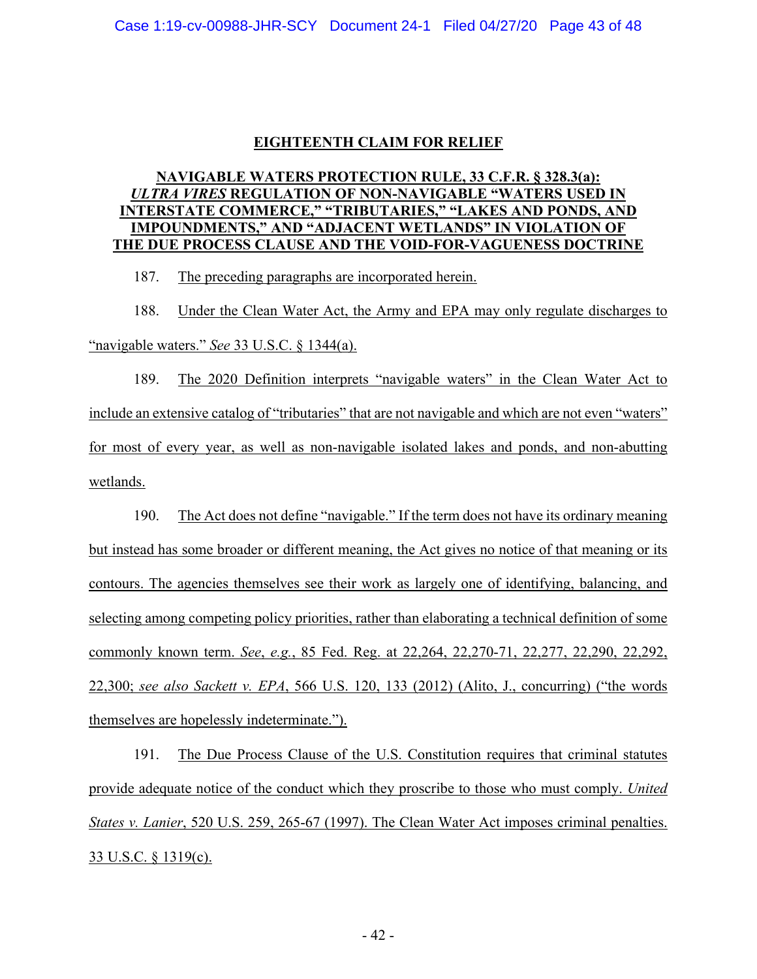## **EIGHTEENTH CLAIM FOR RELIEF**

## **NAVIGABLE WATERS PROTECTION RULE, 33 C.F.R. § 328.3(a):** *ULTRA VIRES* **REGULATION OF NON-NAVIGABLE "WATERS USED IN INTERSTATE COMMERCE," "TRIBUTARIES," "LAKES AND PONDS, AND IMPOUNDMENTS," AND "ADJACENT WETLANDS" IN VIOLATION OF THE DUE PROCESS CLAUSE AND THE VOID-FOR-VAGUENESS DOCTRINE**

187. The preceding paragraphs are incorporated herein.

188. Under the Clean Water Act, the Army and EPA may only regulate discharges to "navigable waters." *See* 33 U.S.C. § 1344(a).

189. The 2020 Definition interprets "navigable waters" in the Clean Water Act to include an extensive catalog of "tributaries" that are not navigable and which are not even "waters" for most of every year, as well as non-navigable isolated lakes and ponds, and non-abutting wetlands.

190. The Act does not define "navigable." If the term does not have its ordinary meaning but instead has some broader or different meaning, the Act gives no notice of that meaning or its contours. The agencies themselves see their work as largely one of identifying, balancing, and selecting among competing policy priorities, rather than elaborating a technical definition of some commonly known term. *See*, *e.g.*, 85 Fed. Reg. at 22,264, 22,270-71, 22,277, 22,290, 22,292, 22,300; *see also Sackett v. EPA*, 566 U.S. 120, 133 (2012) (Alito, J., concurring) ("the words themselves are hopelessly indeterminate.").

191. The Due Process Clause of the U.S. Constitution requires that criminal statutes provide adequate notice of the conduct which they proscribe to those who must comply. *United States v. Lanier*, 520 U.S. 259, 265-67 (1997). The Clean Water Act imposes criminal penalties. 33 U.S.C. § 1319(c).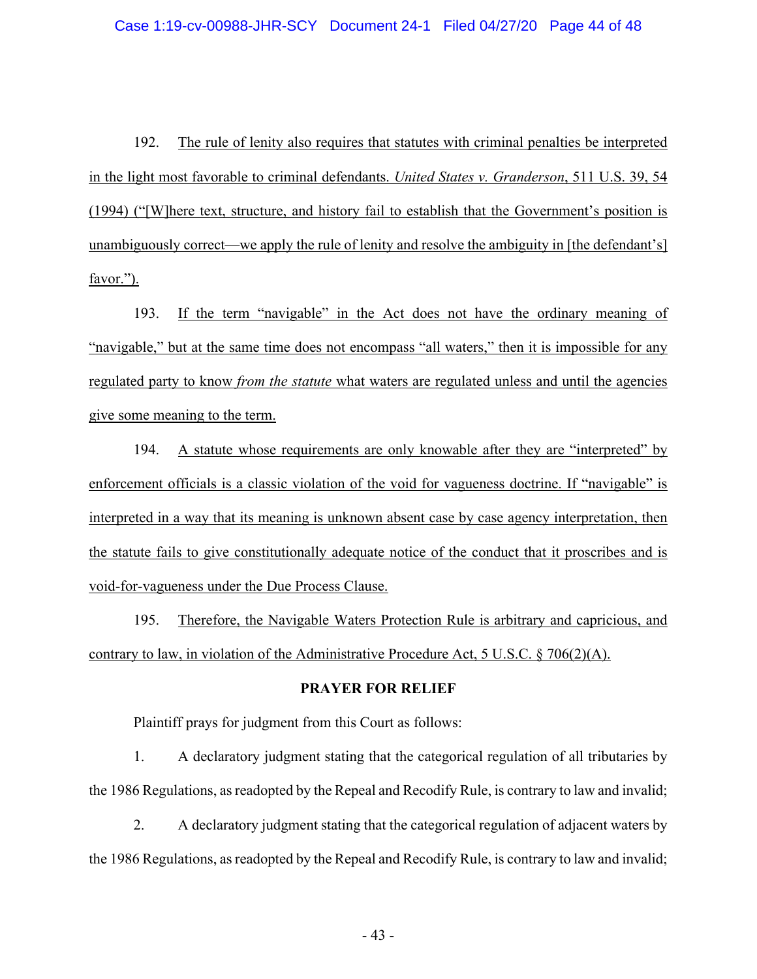### Case 1:19-cv-00988-JHR-SCY Document 24-1 Filed 04/27/20 Page 44 of 48

192. The rule of lenity also requires that statutes with criminal penalties be interpreted in the light most favorable to criminal defendants. *United States v. Granderson*, 511 U.S. 39, 54 (1994) ("[W]here text, structure, and history fail to establish that the Government's position is unambiguously correct—we apply the rule of lenity and resolve the ambiguity in [the defendant's] favor.").

193. If the term "navigable" in the Act does not have the ordinary meaning of "navigable," but at the same time does not encompass "all waters," then it is impossible for any regulated party to know *from the statute* what waters are regulated unless and until the agencies give some meaning to the term.

194. A statute whose requirements are only knowable after they are "interpreted" by enforcement officials is a classic violation of the void for vagueness doctrine. If "navigable" is interpreted in a way that its meaning is unknown absent case by case agency interpretation, then the statute fails to give constitutionally adequate notice of the conduct that it proscribes and is void-for-vagueness under the Due Process Clause.

195. Therefore, the Navigable Waters Protection Rule is arbitrary and capricious, and contrary to law, in violation of the Administrative Procedure Act, 5 U.S.C. § 706(2)(A).

#### **PRAYER FOR RELIEF**

Plaintiff prays for judgment from this Court as follows:

1. A declaratory judgment stating that the categorical regulation of all tributaries by the 1986 Regulations, as readopted by the Repeal and Recodify Rule, is contrary to law and invalid;

2. A declaratory judgment stating that the categorical regulation of adjacent waters by the 1986 Regulations, as readopted by the Repeal and Recodify Rule, is contrary to law and invalid;

- 43 -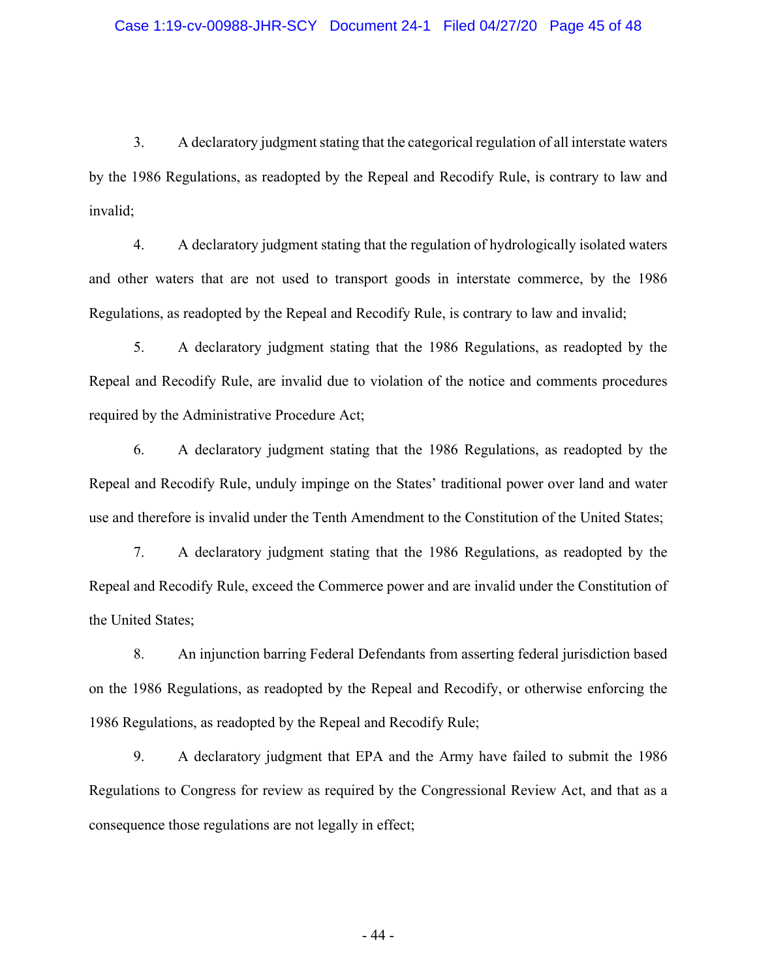3. A declaratory judgment stating that the categorical regulation of all interstate waters by the 1986 Regulations, as readopted by the Repeal and Recodify Rule, is contrary to law and invalid;

4. A declaratory judgment stating that the regulation of hydrologically isolated waters and other waters that are not used to transport goods in interstate commerce, by the 1986 Regulations, as readopted by the Repeal and Recodify Rule, is contrary to law and invalid;

5. A declaratory judgment stating that the 1986 Regulations, as readopted by the Repeal and Recodify Rule, are invalid due to violation of the notice and comments procedures required by the Administrative Procedure Act;

6. A declaratory judgment stating that the 1986 Regulations, as readopted by the Repeal and Recodify Rule, unduly impinge on the States' traditional power over land and water use and therefore is invalid under the Tenth Amendment to the Constitution of the United States;

7. A declaratory judgment stating that the 1986 Regulations, as readopted by the Repeal and Recodify Rule, exceed the Commerce power and are invalid under the Constitution of the United States;

8. An injunction barring Federal Defendants from asserting federal jurisdiction based on the 1986 Regulations, as readopted by the Repeal and Recodify, or otherwise enforcing the 1986 Regulations, as readopted by the Repeal and Recodify Rule;

9. A declaratory judgment that EPA and the Army have failed to submit the 1986 Regulations to Congress for review as required by the Congressional Review Act, and that as a consequence those regulations are not legally in effect;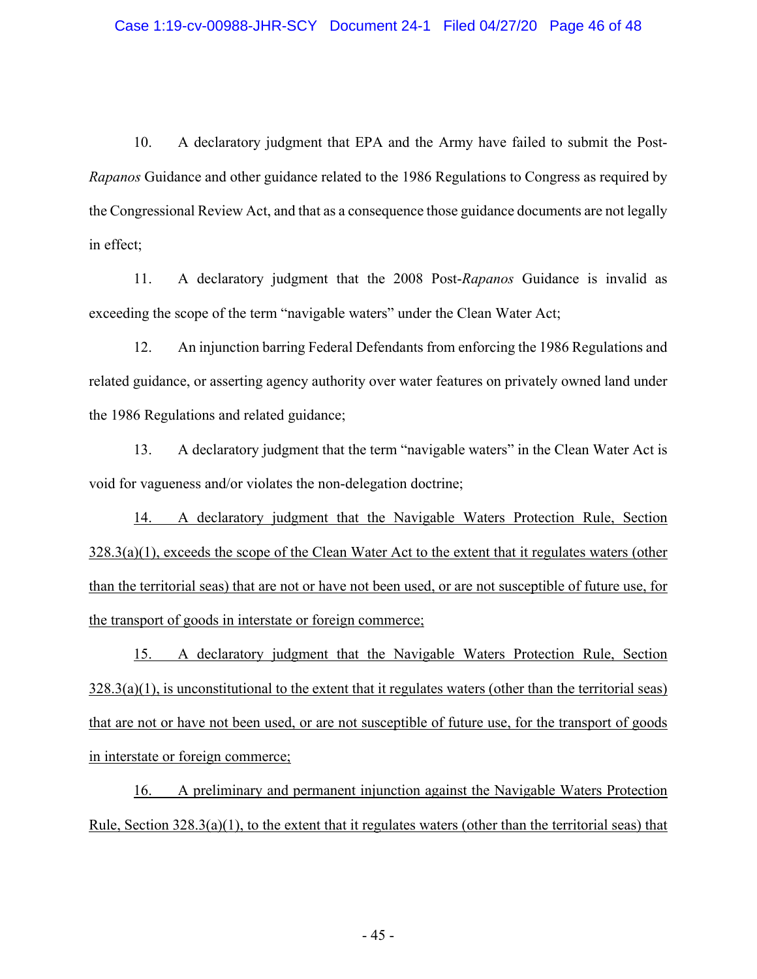#### Case 1:19-cv-00988-JHR-SCY Document 24-1 Filed 04/27/20 Page 46 of 48

10. A declaratory judgment that EPA and the Army have failed to submit the Post-*Rapanos* Guidance and other guidance related to the 1986 Regulations to Congress as required by the Congressional Review Act, and that as a consequence those guidance documents are not legally in effect;

11. A declaratory judgment that the 2008 Post-*Rapanos* Guidance is invalid as exceeding the scope of the term "navigable waters" under the Clean Water Act;

12. An injunction barring Federal Defendants from enforcing the 1986 Regulations and related guidance, or asserting agency authority over water features on privately owned land under the 1986 Regulations and related guidance;

13. A declaratory judgment that the term "navigable waters" in the Clean Water Act is void for vagueness and/or violates the non-delegation doctrine;

14. A declaratory judgment that the Navigable Waters Protection Rule, Section 328.3(a)(1), exceeds the scope of the Clean Water Act to the extent that it regulates waters (other than the territorial seas) that are not or have not been used, or are not susceptible of future use, for the transport of goods in interstate or foreign commerce;

15. A declaratory judgment that the Navigable Waters Protection Rule, Section  $328.3(a)(1)$ , is unconstitutional to the extent that it regulates waters (other than the territorial seas) that are not or have not been used, or are not susceptible of future use, for the transport of goods in interstate or foreign commerce;

16. A preliminary and permanent injunction against the Navigable Waters Protection Rule, Section 328.3(a)(1), to the extent that it regulates waters (other than the territorial seas) that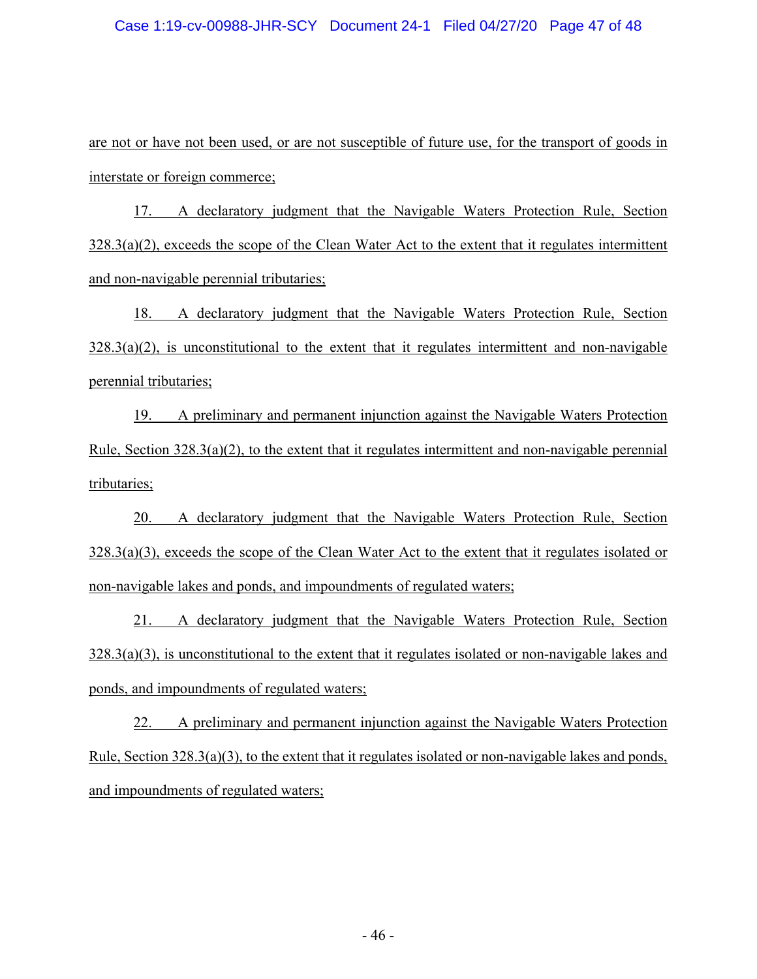#### Case 1:19-cv-00988-JHR-SCY Document 24-1 Filed 04/27/20 Page 47 of 48

are not or have not been used, or are not susceptible of future use, for the transport of goods in interstate or foreign commerce;

17. A declaratory judgment that the Navigable Waters Protection Rule, Section 328.3(a)(2), exceeds the scope of the Clean Water Act to the extent that it regulates intermittent and non-navigable perennial tributaries;

18. A declaratory judgment that the Navigable Waters Protection Rule, Section  $328.3(a)(2)$ , is unconstitutional to the extent that it regulates intermittent and non-navigable perennial tributaries;

19. A preliminary and permanent injunction against the Navigable Waters Protection Rule, Section  $328.3(a)(2)$ , to the extent that it regulates intermittent and non-navigable perennial tributaries;

20. A declaratory judgment that the Navigable Waters Protection Rule, Section 328.3(a)(3), exceeds the scope of the Clean Water Act to the extent that it regulates isolated or non-navigable lakes and ponds, and impoundments of regulated waters;

21. A declaratory judgment that the Navigable Waters Protection Rule, Section 328.3(a)(3), is unconstitutional to the extent that it regulates isolated or non-navigable lakes and ponds, and impoundments of regulated waters;

22. A preliminary and permanent injunction against the Navigable Waters Protection Rule, Section 328.3(a)(3), to the extent that it regulates isolated or non-navigable lakes and ponds, and impoundments of regulated waters;